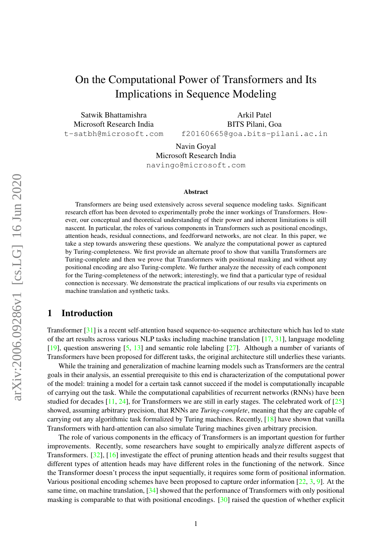# On the Computational Power of Transformers and Its Implications in Sequence Modeling

Satwik Bhattamishra Microsoft Research India t-satbh@microsoft.com

Arkil Patel BITS Pilani, Goa f20160665@goa.bits-pilani.ac.in

Navin Goyal Microsoft Research India navingo@microsoft.com

#### Abstract

Transformers are being used extensively across several sequence modeling tasks. Significant research effort has been devoted to experimentally probe the inner workings of Transformers. However, our conceptual and theoretical understanding of their power and inherent limitations is still nascent. In particular, the roles of various components in Transformers such as positional encodings, attention heads, residual connections, and feedforward networks, are not clear. In this paper, we take a step towards answering these questions. We analyze the computational power as captured by Turing-completeness. We first provide an alternate proof to show that vanilla Transformers are Turing-complete and then we prove that Transformers with positional masking and without any positional encoding are also Turing-complete. We further analyze the necessity of each component for the Turing-completeness of the network; interestingly, we find that a particular type of residual connection is necessary. We demonstrate the practical implications of our results via experiments on machine translation and synthetic tasks.

# 1 Introduction

Transformer [\[31\]](#page-11-0) is a recent self-attention based sequence-to-sequence architecture which has led to state of the art results across various NLP tasks including machine translation [\[17,](#page-10-0) [31\]](#page-11-0), language modeling [\[19\]](#page-10-1), question answering [\[5,](#page-9-0) [13\]](#page-10-2) and semantic role labeling [\[27\]](#page-11-1). Although a number of variants of Transformers have been proposed for different tasks, the original architecture still underlies these variants.

While the training and generalization of machine learning models such as Transformers are the central goals in their analysis, an essential prerequisite to this end is characterization of the computational power of the model: training a model for a certain task cannot succeed if the model is computationally incapable of carrying out the task. While the computational capabilities of recurrent networks (RNNs) have been studied for decades [\[11,](#page-10-3) [24\]](#page-10-4), for Transformers we are still in early stages. The celebrated work of [\[25\]](#page-10-5) showed, assuming arbitrary precision, that RNNs are *Turing-complete*, meaning that they are capable of carrying out any algorithmic task formalized by Turing machines. Recently, [\[18\]](#page-10-6) have shown that vanilla Transformers with hard-attention can also simulate Turing machines given arbitrary precision.

The role of various components in the efficacy of Transformers is an important question for further improvements. Recently, some researchers have sought to empirically analyze different aspects of Transformers. [\[32\]](#page-11-2), [\[16\]](#page-10-7) investigate the effect of pruning attention heads and their results suggest that different types of attention heads may have different roles in the functioning of the network. Since the Transformer doesn't process the input sequentially, it requires some form of positional information. Various positional encoding schemes have been proposed to capture order information [\[22,](#page-10-8) [3,](#page-9-1) [9\]](#page-9-2). At the same time, on machine translation, [\[34\]](#page-11-3) showed that the performance of Transformers with only positional masking is comparable to that with positional encodings. [\[30\]](#page-11-4) raised the question of whether explicit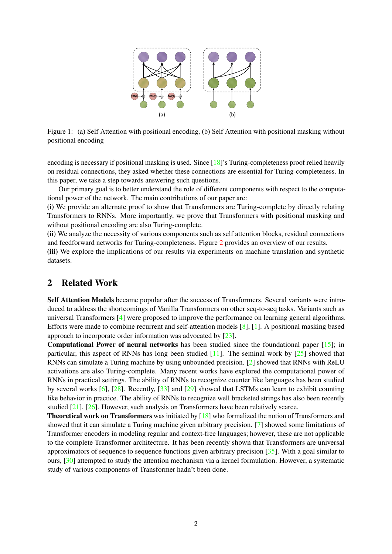

Figure 1: (a) Self Attention with positional encoding, (b) Self Attention with positional masking without positional encoding

encoding is necessary if positional masking is used. Since [\[18\]](#page-10-6)'s Turing-completeness proof relied heavily on residual connections, they asked whether these connections are essential for Turing-completeness. In this paper, we take a step towards answering such questions.

Our primary goal is to better understand the role of different components with respect to the computational power of the network. The main contributions of our paper are:

(i) We provide an alternate proof to show that Transformers are Turing-complete by directly relating Transformers to RNNs. More importantly, we prove that Transformers with positional masking and without positional encoding are also Turing-complete.

(ii) We analyze the necessity of various components such as self attention blocks, residual connections and feedforward networks for Turing-completeness. Figure [2](#page-5-0) provides an overview of our results.

(iii) We explore the implications of our results via experiments on machine translation and synthetic datasets.

# 2 Related Work

Self Attention Models became popular after the success of Transformers. Several variants were introduced to address the shortcomings of Vanilla Transformers on other seq-to-seq tasks. Variants such as universal Transformers [\[4\]](#page-9-3) were proposed to improve the performance on learning general algorithms. Efforts were made to combine recurrent and self-attention models [\[8\]](#page-9-4), [\[1\]](#page-9-5). A positional masking based approach to incorporate order information was advocated by [\[23\]](#page-10-9).

Computational Power of neural networks has been studied since the foundational paper [\[15\]](#page-10-10); in particular, this aspect of RNNs has long been studied  $[11]$ . The seminal work by  $[25]$  showed that RNNs can simulate a Turing machine by using unbounded precision. [\[2\]](#page-9-6) showed that RNNs with ReLU activations are also Turing-complete. Many recent works have explored the computational power of RNNs in practical settings. The ability of RNNs to recognize counter like languages has been studied by several works [\[6\]](#page-9-7), [\[28\]](#page-11-5). Recently, [\[33\]](#page-11-6) and [\[29\]](#page-11-7) showed that LSTMs can learn to exhibit counting like behavior in practice. The ability of RNNs to recognize well bracketed strings has also been recently studied [\[21\]](#page-10-11), [\[26\]](#page-11-8). However, such analysis on Transformers have been relatively scarce.

**Theoretical work on Transformers** was initiated by  $[18]$  who formalized the notion of Transformers and showed that it can simulate a Turing machine given arbitrary precision. [\[7\]](#page-9-8) showed some limitations of Transformer encoders in modeling regular and context-free languages; however, these are not applicable to the complete Transformer architecture. It has been recently shown that Transformers are universal approximators of sequence to sequence functions given arbitrary precision [\[35\]](#page-11-9). With a goal similar to ours, [\[30\]](#page-11-4) attempted to study the attention mechanism via a kernel formulation. However, a systematic study of various components of Transformer hadn't been done.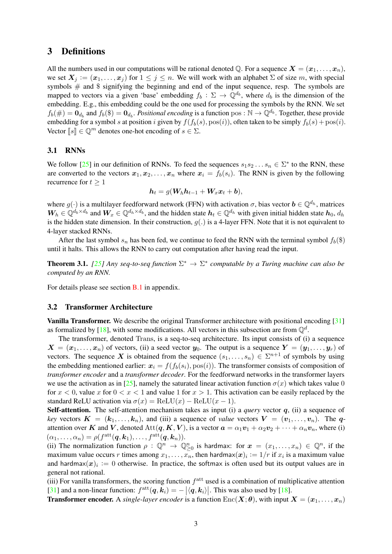# 3 Definitions

All the numbers used in our computations will be rational denoted Q. For a sequence  $X = (x_1, \ldots, x_n)$ , we set  $X_j := (x_1, \ldots, x_j)$  for  $1 \leq j \leq n$ . We will work with an alphabet  $\Sigma$  of size m, with special symbols  $#$  and  $$$  signifying the beginning and end of the input sequence, resp. The symbols are mapped to vectors via a given 'base' embedding  $f_b: \Sigma \to \mathbb{Q}^{d_b}$ , where  $d_b$  is the dimension of the embedding. E.g., this embedding could be the one used for processing the symbols by the RNN. We set  $f_b(\#)=\mathbf{0}_{d_b}$  and  $f_b(\$)=\mathbf{0}_{d_b}$ . *Positional encoding* is a function pos :  $\mathbb{N}\to\mathbb{Q}^{d_b}$ . Together, these provide embedding for a symbol s at position i given by  $f(f_b(s), pos(i))$ , often taken to be simply  $f_b(s) + pos(i)$ . Vector  $\llbracket s \rrbracket \in \mathbb{Q}^m$  denotes one-hot encoding of  $s \in \Sigma$ .

#### 3.1 RNNs

We follow [\[25\]](#page-10-5) in our definition of RNNs. To feed the sequences  $s_1 s_2 \ldots s_n \in \Sigma^*$  to the RNN, these are converted to the vectors  $x_1, x_2, \ldots, x_n$  where  $x_i = f_b(s_i)$ . The RNN is given by the following recurrence for  $t \geq 1$ 

$$
h_t = g(W_h h_{t-1} + W_x x_t + b),
$$

where  $g(\cdot)$  is a multilayer feedforward network (FFN) with activation  $\sigma$ , bias vector  $\mathbf{b} \in \mathbb{Q}^{d_h}$ , matrices  $W_h \in \mathbb{Q}^{d_h \times d_b}$  and  $W_x \in \mathbb{Q}^{d_h \times d_b}$ , and the hidden state  $h_t \in \mathbb{Q}^{d_h}$  with given initial hidden state  $h_0$ ,  $d_h$ is the hidden state dimension. In their construction,  $g(.)$  is a 4-layer FFN. Note that it is not equivalent to 4-layer stacked RNNs.

After the last symbol  $s_n$  has been fed, we continue to feed the RNN with the terminal symbol  $f_b(\$)$ until it halts. This allows the RNN to carry out computation after having read the input.

**Theorem 3.1.** [\[25\]](#page-10-5) Any seq-to-seq function  $\Sigma^* \to \Sigma^*$  computable by a Turing machine can also be *computed by an RNN.*

For details please see section [B.1](#page-12-0) in appendix.

### 3.2 Transformer Architecture

Vanilla Transformer. We describe the original Transformer architecture with positional encoding [\[31\]](#page-11-0) as formalized by [\[18\]](#page-10-6), with some modifications. All vectors in this subsection are from  $\mathbb{Q}^d$ .

The transformer, denoted Trans, is a seq-to-seq architecture. Its input consists of (i) a sequence  $X = (x_1, \ldots, x_n)$  of vectors, (ii) a seed vector  $y_0$ . The output is a sequence  $Y = (y_1, \ldots, y_r)$  of vectors. The sequence X is obtained from the sequence  $(s_1, \ldots, s_n) \in \Sigma^{n+1}$  of symbols by using the embedding mentioned earlier:  $x_i = f(f_b(s_i), pos(i))$ . The transformer consists of composition of *transformer encoder* and a *transformer decoder*. For the feedforward networks in the transformer layers we use the activation as in [\[25\]](#page-10-5), namely the saturated linear activation function  $\sigma(x)$  which takes value 0 for  $x < 0$ , value x for  $0 < x < 1$  and value 1 for  $x > 1$ . This activation can be easily replaced by the standard ReLU activation via  $\sigma(x) = \text{ReLU}(x) - \text{ReLU}(x - 1)$ .

Self-attention. The self-attention mechanism takes as input (i) a *query* vector q, (ii) a sequence of *key* vectors  $\mathbf{K} = (\mathbf{k}_1, \dots, \mathbf{k}_n)$ , and (iii) a sequence of *value* vectors  $\mathbf{V} = (\mathbf{v}_1, \dots, \mathbf{v}_n)$ . The qattention over K and V, denoted  $\text{Att}(q, K, V)$ , is a vector  $a = \alpha_1 v_1 + \alpha_2 v_2 + \cdots + \alpha_n v_n$ , where (i)  $(\alpha_1,\ldots,\alpha_n)=\rho(f^{\rm att}(\bm{q},\bm{k}_1),\ldots,f^{\rm att}(\bm{q},\bm{k}_n)).$ 

(ii) The normalization function  $\rho : \mathbb{Q}^n \to \mathbb{Q}^n_{\geq 0}$  is hardmax: for  $x = (x_1, \ldots, x_n) \in \mathbb{Q}^n$ , if the maximum value occurs r times among  $x_1, \ldots, x_n$ , then hardmax $(x)_i := 1/r$  if  $x_i$  is a maximum value and hardmax $(x)_i := 0$  otherwise. In practice, the softmax is often used but its output values are in general not rational.

(iii) For vanilla transformers, the scoring function  $f<sup>att</sup>$  used is a combination of multiplicative attention [\[31\]](#page-11-0) and a non-linear function:  $f^{\text{att}}(q, k_i) = - |\langle q, k_i \rangle|$ . This was also used by [\[18\]](#page-10-6).

**Transformer encoder.** A *single-layer encoder* is a function  $Enc(X; \theta)$ , with input  $X = (x_1, \ldots, x_n)$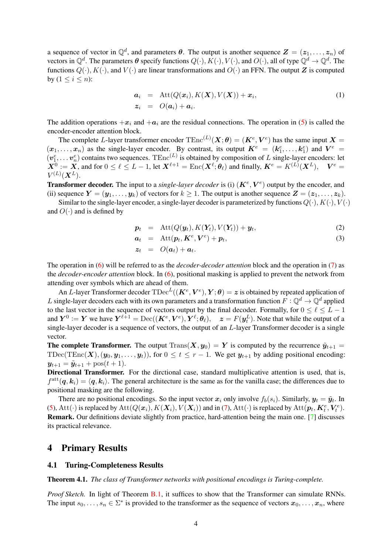a sequence of vector in  $\mathbb{Q}^d$ , and parameters  $\theta$ . The output is another sequence  $\mathbf{Z} = (\mathbf{z}_1, \dots, \mathbf{z}_n)$  of vectors in  $\mathbb{Q}^d$ . The parameters  $\theta$  specify functions  $Q(\cdot), K(\cdot), V(\cdot)$ , and  $O(\cdot)$ , all of type  $\mathbb{Q}^d \to \mathbb{Q}^d$ . The functions  $Q(\cdot)$ ,  $K(\cdot)$ , and  $V(\cdot)$  are linear transformations and  $O(\cdot)$  an FFN. The output Z is computed by  $(1 \leq i \leq n)$ :

$$
\begin{array}{rcl}\n\mathbf{a}_i & = & \text{Att}(Q(\mathbf{x}_i), K(\mathbf{X}), V(\mathbf{X})) + \mathbf{x}_i, \\
\mathbf{z}_i & = & O(\mathbf{a}_i) + \mathbf{a}_i.\n\end{array} \tag{1}
$$

The addition operations  $+x_i$  and  $+a_i$  are the residual connections. The operation in [\(5\)](#page-14-0) is called the encoder-encoder attention block.

The complete L-layer transformer encoder  $\text{TEnc}^{(L)}(\bm{X};\theta) = (\bm{K}^e,\bm{V}^e)$  has the same input  $\bm{X} =$  $(x_1,\ldots,x_n)$  as the single-layer encoder. By contrast, its output  $K^e = (k_1^e,\ldots,k_1^e)$  and  $V^e =$  $(v_1^e, \ldots v_n^e)$  contains two sequences. TEnc<sup>(L)</sup> is obtained by composition of L single-layer encoders: let  $\boldsymbol{X}^0\coloneqq\boldsymbol{X},$  and for  $0\leq\ell\leq L-1,$  let  $\boldsymbol{X}^{\ell+1}=\text{Enc}(\boldsymbol{X}^{\ell};\boldsymbol{\theta}_{\ell})$  and finally,  $\boldsymbol{K}^e=K^{(L)}(\boldsymbol{X}^L),\quad \boldsymbol{V}^e=0$  $V^{(L)}(\boldsymbol{X}^L).$ 

**Transformer decoder.** The input to a *single-layer decoder* is (i)  $(K^e, V^e)$  output by the encoder, and (ii) sequence  $Y = (\mathbf{y}_1, \dots, \mathbf{y}_k)$  of vectors for  $k \ge 1$ . The output is another sequence  $\mathbf{Z} = (\mathbf{z}_1, \dots, \mathbf{z}_k)$ .

Similar to the single-layer encoder, a single-layer decoder is parameterized by functions  $Q(\cdot), K(\cdot), V(\cdot)$ and  $O(·)$  and is defined by

$$
\boldsymbol{p}_t = \text{Att}(Q(\boldsymbol{y}_t), K(\boldsymbol{Y}_t), V(\boldsymbol{Y}_t)) + \boldsymbol{y}_t, \tag{2}
$$

$$
a_t = \text{Att}(p_t, K^e, V^e) + p_t, \tag{3}
$$

$$
\boldsymbol{z}_t \hspace{2mm} = \hspace{2mm} O(\boldsymbol{a}_t) + \boldsymbol{a}_t.
$$

The operation in [\(6\)](#page-14-1) will be referred to as the *decoder-decoder attention* block and the operation in [\(7\)](#page-14-1) as the *decoder-encoder attention* block. In [\(6\)](#page-14-1), positional masking is applied to prevent the network from attending over symbols which are ahead of them.

An L-layer Transformer decoder  $\text{TDec}^L((\bm{K}^e,\bm{V}^e),\bm{Y};\bm{\theta})=\bm{z}$  is obtained by repeated application of L single-layer decoders each with its own parameters and a transformation function  $F: \mathbb{Q}^d \to \mathbb{Q}^d$  applied to the last vector in the sequence of vectors output by the final decoder. Formally, for  $0 \le \ell \le L - 1$ and  $Y^0 := Y$  we have  $Y^{\ell+1} = \text{Dec}((K^e, V^e), Y^{\ell}; \theta_{\ell}), \quad z = F(y^L_{t}).$  Note that while the output of a single-layer decoder is a sequence of vectors, the output of an L-layer Transformer decoder is a single vector.

**The complete Transformer.** The output  $Trans(X, y_0) = Y$  is computed by the recurrence  $\tilde{y}_{t+1} =$ TDec(TEnc(X),  $(y_0, y_1, \ldots, y_t)$ ), for  $0 \le t \le r - 1$ . We get  $y_{t+1}$  by adding positional encoding:  $y_{t+1} = \tilde{y}_{t+1} + \text{pos}(t+1).$ 

Directional Transformer. For the dirctional case, standard multiplicative attention is used, that is,  $f^{\text{att}}(q, k_i) = \langle q, k_i \rangle$ . The general architecture is the same as for the vanilla case; the differences due to positional masking are the following.

There are no positional encodings. So the input vector  $x_i$  only involve  $f_b(s_i)$ . Similarly,  $y_t = \tilde{y}_t$ . In [\(5\)](#page-14-0), Att( $\cdot$ ) is replaced by Att $(Q(x_i), K(X_i), V(X_i))$  and in [\(7\)](#page-14-1), Att( $\cdot$ ) is replaced by Att $(p_t, K_t^e, V_t^e)$ . Remark. Our definitions deviate slightly from practice, hard-attention being the main one. [\[7\]](#page-9-8) discusses its practical relevance.

### 4 Primary Results

#### 4.1 Turing-Completeness Results

<span id="page-3-0"></span>Theorem 4.1. *The class of Transformer networks with positional encodings is Turing-complete.*

*Proof Sketch.* In light of Theorem [B.1,](#page-12-1) it suffices to show that the Transformer can simulate RNNs. The input  $s_0, \ldots, s_n \in \Sigma^*$  is provided to the transformer as the sequence of vectors  $x_0, \ldots, x_n$ , where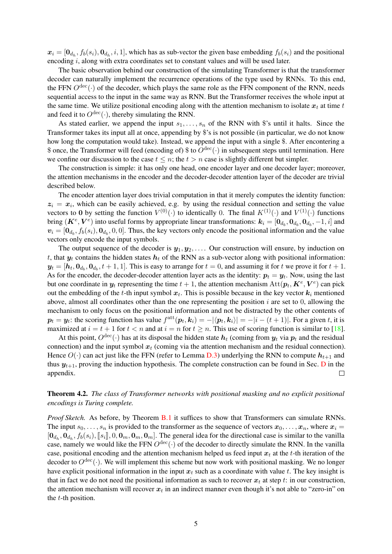$x_i = [\mathbf{0}_{d_h}, f_b(s_i), \mathbf{0}_{d_h}, i, 1]$ , which has as sub-vector the given base embedding  $f_b(s_i)$  and the positional encoding i, along with extra coordinates set to constant values and will be used later.

The basic observation behind our construction of the simulating Transformer is that the transformer decoder can naturally implement the recurrence operations of the type used by RNNs. To this end, the FFN  $O^{dec}(\cdot)$  of the decoder, which plays the same role as the FFN component of the RNN, needs sequential access to the input in the same way as RNN. But the Transformer receives the whole input at the same time. We utilize positional encoding along with the attention mechanism to isolate  $x_t$  at time t and feed it to  $O^{\text{dec}}(\cdot)$ , thereby simulating the RNN.

As stated earlier, we append the input  $s_1, \ldots, s_n$  of the RNN with \$'s until it halts. Since the Transformer takes its input all at once, appending by \$'s is not possible (in particular, we do not know how long the computation would take). Instead, we append the input with a single \$. After encontering a \$ once, the Transformer will feed (encoding of) \$ to  $O^{\text{dec}}(\cdot)$  in subsequent steps until termination. Here we confine our discussion to the case  $t \leq n$ ; the  $t > n$  case is slightly different but simpler.

The construction is simple: it has only one head, one encoder layer and one decoder layer; moreover, the attention mechanisms in the encoder and the decoder-decoder attention layer of the decoder are trivial described below.

The encoder attention layer does trivial computation in that it merely computes the identity function:  $z_i = x_i$ , which can be easily achieved, e.g. by using the residual connection and setting the value vectors to 0 by setting the function  $V^{(0)}(\cdot)$  to identically 0. The final  $K^{(1)}(\cdot)$  and  $V^{(1)}(\cdot)$  functions bring  $(K^e, V^e)$  into useful forms by appropriate linear transformations:  $k_i = [0_{d_b}, 0_{d_b}, 0_{d_b}, -1, i]$  and  $v_i = [\mathbf{0}_{d_b}, f_b(s_i), \mathbf{0}_{d_b}, 0, 0]$ . Thus, the key vectors only encode the positional information and the value vectors only encode the input symbols.

The output sequence of the decoder is  $y_1, y_2, \ldots$  Our construction will ensure, by induction on t, that  $y_t$  contains the hidden states  $h_t$  of the RNN as a sub-vector along with positional information:  $y_t = [h_t, 0_{d_b}, 0_{d_b}, t+1, 1]$ . This is easy to arrange for  $t = 0$ , and assuming it for t we prove it for  $t+1$ . As for the encoder, the decoder-decoder attention layer acts as the identity:  $p_t = y_t$ . Now, using the last but one coordinate in  $y_t$  representing the time  $t + 1$ , the attention mechanism  $\text{Att}(p_t, K^e, V^e)$  can pick out the embedding of the t-th input symbol  $x_t$ . This is possible because in the key vector  $k_i$  mentioned above, almost all coordinates other than the one representing the position  $i$  are set to 0, allowing the mechanism to only focus on the positional information and not be distracted by the other contents of  $p_t = y_t$ : the scoring function has value  $f^{\text{att}}(p_t, k_i) = -|\langle p_t, k_i \rangle| = -|i - (t + 1)|$ . For a given t, it is maximized at  $i = t + 1$  for  $t < n$  and at  $i = n$  for  $t \ge n$ . This use of scoring function is similar to [\[18\]](#page-10-6).

At this point,  $O^{\text{dec}}(\cdot)$  has at its disposal the hidden state  $h_t$  (coming from  $y_t$  via  $p_t$  and the residual connection) and the input symbol  $x_t$  (coming via the attention mechanism and the residual connection). Hence  $O(\cdot)$  can act just like the FFN (refer to Lemma [D.3\)](#page-18-0) underlying the RNN to compute  $h_{t+1}$  and thus  $y_{t+1}$ , proving the induction hypothesis. The complete construction can be found in Sec. [D](#page-16-0) in the appendix.  $\Box$ 

Theorem 4.2. *The class of Transformer networks with positional masking and no explicit positional encodings is Turing complete.*

*Proof Sketch.* As before, by Theorem [B.1](#page-12-1) it suffices to show that Transformers can simulate RNNs. The input  $s_0, \ldots, s_n$  is provided to the transformer as the sequence of vectors  $x_0, \ldots, x_n$ , where  $x_i =$  $[0_{d_h}, 0_{d_h}, f_b(s_i), [\![s_i]\!], 0, 0_m, 0_m, 0_m]$ . The general idea for the directional case is similar to the vanilla<br>case, namely we would like the EEM Odes() of the decoder to directly simulate the BNN. In the vanilla case, namely we would like the FFN  $O^{\text{dec}}(\cdot)$  of the decoder to directly simulate the RNN. In the vanilla case, positional encoding and the attention mechanism helped us feed input  $x_t$  at the t-th iteration of the decoder to  $O^{\text{dec}}(\cdot)$ . We will implement this scheme but now work with positional masking. We no longer have explicit positional information in the input  $x_t$  such as a coordinate with value t. The key insight is that in fact we do not need the positional information as such to recover  $x_t$  at step t: in our construction, the attention mechanism will recover  $x_t$  in an indirect manner even though it's not able to "zero-in" on the t-th position.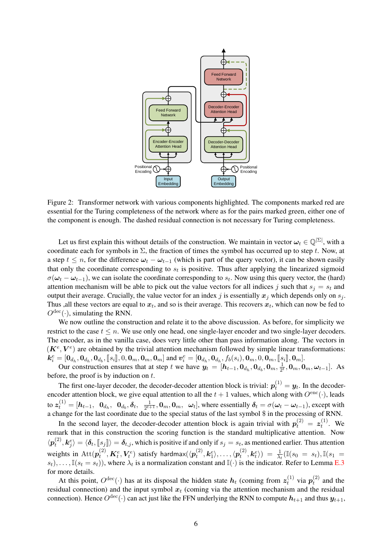

<span id="page-5-0"></span>Figure 2: Transformer network with various components highlighted. The components marked red are essential for the Turing completeness of the network where as for the pairs marked green, either one of the component is enough. The dashed residual connection is not necessary for Turing completeness.

Let us first explain this without details of the construction. We maintain in vector  $\omega_t \in \mathbb{Q}^{|\Sigma|}$ , with a coordinate each for symbols in  $\Sigma$ , the fraction of times the symbol has occurred up to step t. Now, at a step  $t \leq n$ , for the difference  $\omega_t - \omega_{t-1}$  (which is part of the query vector), it can be shown easily that only the coordinate corresponding to  $s_t$  is positive. Thus after applying the linearized sigmoid  $\sigma(\omega_t - \omega_{t-1})$ , we can isolate the coordinate corresponding to  $s_t$ . Now using this query vector, the (hard) attention mechanism will be able to pick out the value vectors for all indices j such that  $s_i = s_t$  and output their average. Crucially, the value vector for an index j is essentially  $x_j$  which depends only on  $s_j$ . Thus , all these vectors are equal to  $x_t$ , and so is their average. This recovers  $x_t$ , which can now be fed to  $O^{\text{dec}}(\cdot)$ , simulating the RNN.

We now outline the construction and relate it to the above discussion. As before, for simplicity we restrict to the case  $t \leq n$ . We use only one head, one single-layer encoder and two single-layer decoders. The encoder, as in the vanilla case, does very little other than pass information along. The vectors in  $(K^e, V^e)$  are obtained by the trivial attention mechanism followed by simple linear transformations:  $k_i^e = [\mathbf{0}_{d_h}, \mathbf{0}_{d_h}, \mathbf{0}_{d_b}, [\![s_i]\!], 0, \mathbf{0}_m, \mathbf{0}_m, \mathbf{0}_m]$  and  $\mathbf{v}_i^e = [\mathbf{0}_{d_h}, \mathbf{0}_{d_h}, f_b(s_i), \mathbf{0}_m, 0, \mathbf{0}_m, [\![s_i]\!], \mathbf{0}_m]$ .<br>Our construction ensures that at step t we have  $\mathbf{y}_t = [\mathbf{h}_{t-1}, \mathbf{0}_{d_h}, \$ 

 $\frac{1}{2^t}, \mathbf{0}_m, \mathbf{0}_m, \boldsymbol{\omega}_{t-1}].$  As before, the proof is by induction on  $t$ .

The first one-layer decoder, the decoder-decoder attention block is trivial:  $p_t^{(1)} = y_t$ . In the decoderencoder attention block, we give equal attention to all the  $t + 1$  values, which along with  $O^{\text{enc}}(\cdot)$ , leads to  $\bm{z}_t^{(1)} = [\bm{h}_{t-1},~~\bm{0}_{d_h},~~\bm{0}_{d_b}, \bm{\delta}_t,~~\frac{1}{2^{t+1}}]$  $\frac{1}{2^{t+1}}$ ,  $0_m$ ,  $0_m$ ,  $\omega_t$ , where essentially  $\delta_t = \sigma(\omega_t - \omega_{t-1})$ , except with a change for the last coordinate due to the special status of the last symbol \$ in the processing of RNN.

In the second layer, the decoder-decoder attention block is again trivial with  $p_t^{(2)} = z_t^{(1)}$  $t_t^{(1)}$ . We remark that in this construction the scoring function is the standard multiplicative attention. Now  $\langle \bm{p}^{(2)}_t$  $\langle k_j^2 \rangle = \langle \delta_t, [s_j] \rangle = \delta_{t,j}$ , which is positive if and only if  $s_j = s_t$ , as mentioned earlier. Thus attention weights in  $\text{Att}(p_t^{(2)})$  $t^{(2)}_t, \pmb{K}^e_t, \pmb{V}^e_t)$  satisfy hardmax $(\langle \pmb{p}^{(2)}_t \rangle$  $\langle t^{(2)}, \bm{k}_1^e \rangle, \ldots, \langle \bm{p}_t^{(2)} \rangle$  $\theta_t^{(2)}, \bm{k}_t^e \rangle) \; = \; \frac{1}{\lambda_t} (\mathbb{I}(s_0 \; = \; s_t), \mathbb{I}(s_1 \; = \; t) )$  $(s_t), \ldots, \mathbb{I}(s_t = s_t)$ , where  $\lambda_t$  is a normalization constant and  $\mathbb{I}(\cdot)$  is the indicator. Refer to Lemma [E.3](#page-24-0) for more details.

At this point,  $O^{\text{dec}}(\cdot)$  has at its disposal the hidden state  $h_t$  (coming from  $z_t^{(1)}$  $t_t^{(1)}$  via  $\boldsymbol{p}_t^{(2)}$  $t_t^{(2)}$  and the residual connection) and the input symbol  $x_t$  (coming via the attention mechanism and the residual connection). Hence  $O^{\text{dec}}(\cdot)$  can act just like the FFN underlying the RNN to compute  $h_{t+1}$  and thus  $y_{t+1}$ ,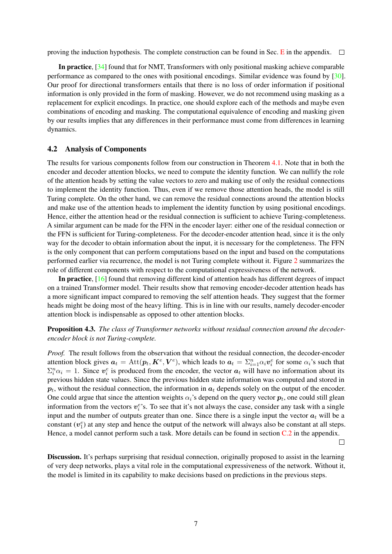proving the induction hypothesis. The complete construction can be found in Sec. [E](#page-19-0) in the appendix.  $\Box$ 

In practice, [\[34\]](#page-11-3) found that for NMT, Transformers with only positional masking achieve comparable performance as compared to the ones with positional encodings. Similar evidence was found by [\[30\]](#page-11-4). Our proof for directional transformers entails that there is no loss of order information if positional information is only provided in the form of masking. However, we do not recommend using masking as a replacement for explicit encodings. In practice, one should explore each of the methods and maybe even combinations of encoding and masking. The computational equivalence of encoding and masking given by our results implies that any differences in their performance must come from differences in learning dynamics.

#### 4.2 Analysis of Components

The results for various components follow from our construction in Theorem [4.1.](#page-3-0) Note that in both the encoder and decoder attention blocks, we need to compute the identity function. We can nullify the role of the attention heads by setting the value vectors to zero and making use of only the residual connections to implement the identity function. Thus, even if we remove those attention heads, the model is still Turing complete. On the other hand, we can remove the residual connections around the attention blocks and make use of the attention heads to implement the identity function by using positional encodings. Hence, either the attention head or the residual connection is sufficient to achieve Turing-completeness. A similar argument can be made for the FFN in the encoder layer: either one of the residual connection or the FFN is sufficient for Turing-completeness. For the decoder-encoder attention head, since it is the only way for the decoder to obtain information about the input, it is necessary for the completeness. The FFN is the only component that can perform computations based on the input and based on the computations performed earlier via recurrence, the model is not Turing complete without it. Figure [2](#page-5-0) summarizes the role of different components with respect to the computational expressiveness of the network.

In practice, [\[16\]](#page-10-7) found that removing different kind of attention heads has different degrees of impact on a trained Transformer model. Their results show that removing encoder-decoder attention heads has a more significant impact compared to removing the self attention heads. They suggest that the former heads might be doing most of the heavy lifting. This is in line with our results, namely decoder-encoder attention block is indispensable as opposed to other attention blocks.

### Proposition 4.3. *The class of Transformer networks without residual connection around the decoderencoder block is not Turing-complete.*

*Proof.* The result follows from the observation that without the residual connection, the decoder-encoder attention block gives  $a_t = \text{Att}(p_t, K^e, V^e)$ , which leads to  $a_t = \sum_{i=1}^n \alpha_i v_i^e$  for some  $\alpha_i$ 's such that  $\sum_i^n \alpha_i = 1$ . Since  $v_i^e$  is produced from the encoder, the vector  $a_t$  will have no information about its previous hidden state values. Since the previous hidden state information was computed and stored in  $p_t$ , without the residual connection, the information in  $a_t$  depends solely on the output of the encoder. One could argue that since the attention weights  $\alpha_i$ 's depend on the query vector  $p_t$ , one could still glean information from the vectors  $v_i^e$ 's. To see that it's not always the case, consider any task with a single input and the number of outputs greater than one. Since there is a single input the vector  $a_t$  will be a constant  $(v_1^e)$  at any step and hence the output of the network will always also be constant at all steps. Hence, a model cannot perform such a task. More details can be found in section [C.2](#page-16-1) in the appendix.

 $\Box$ 

Discussion. It's perhaps surprising that residual connection, originally proposed to assist in the learning of very deep networks, plays a vital role in the computational expressiveness of the network. Without it, the model is limited in its capability to make decisions based on predictions in the previous steps.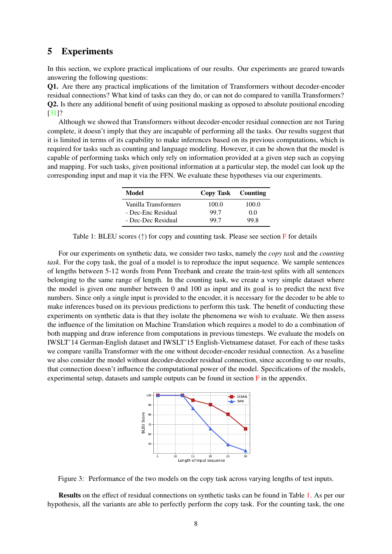# 5 Experiments

In this section, we explore practical implications of our results. Our experiments are geared towards answering the following questions:

Q1. Are there any practical implications of the limitation of Transformers without decoder-encoder residual connections? What kind of tasks can they do, or can not do compared to vanilla Transformers? Q2. Is there any additional benefit of using positional masking as opposed to absolute positional encoding [\[31\]](#page-11-0)?

Although we showed that Transformers without decoder-encoder residual connection are not Turing complete, it doesn't imply that they are incapable of performing all the tasks. Our results suggest that it is limited in terms of its capability to make inferences based on its previous computations, which is required for tasks such as counting and language modeling. However, it can be shown that the model is capable of performing tasks which only rely on information provided at a given step such as copying and mapping. For such tasks, given positional information at a particular step, the model can look up the corresponding input and map it via the FFN. We evaluate these hypotheses via our experiments.

| Model                | Copy Task Counting |       |
|----------------------|--------------------|-------|
| Vanilla Transformers | 100.0              | 100.0 |
| - Dec-Enc Residual   | 99.7               | 0.0   |
| - Dec-Dec Residual   | 99.7               | 99 R  |

<span id="page-7-0"></span>Table 1: BLEU scores ( $\uparrow$ ) for copy and counting task. Please see section [F](#page-26-0) for details

For our experiments on synthetic data, we consider two tasks, namely the *copy task* and the *counting task*. For the copy task, the goal of a model is to reproduce the input sequence. We sample sentences of lengths between 5-12 words from Penn Treebank and create the train-test splits with all sentences belonging to the same range of length. In the counting task, we create a very simple dataset where the model is given one number between 0 and 100 as input and its goal is to predict the next five numbers. Since only a single input is provided to the encoder, it is necessary for the decoder to be able to make inferences based on its previous predictions to perform this task. The benefit of conducting these experiments on synthetic data is that they isolate the phenomena we wish to evaluate. We then assess the influence of the limitation on Machine Translation which requires a model to do a combination of both mapping and draw inference from computations in previous timesteps. We evaluate the models on IWSLT'14 German-English dataset and IWSLT'15 English-Vietnamese dataset. For each of these tasks we compare vanilla Transformer with the one without decoder-encoder residual connection. As a baseline we also consider the model without decoder-decoder residual connection, since according to our results, that connection doesn't influence the computational power of the model. Specifications of the models, experimental setup, datasets and sample outputs can be found in section  $\overline{F}$  $\overline{F}$  $\overline{F}$  in the appendix.



<span id="page-7-1"></span>Figure 3: Performance of the two models on the copy task across varying lengths of test inputs.

Results on the effect of residual connections on synthetic tasks can be found in Table [1.](#page-7-0) As per our hypothesis, all the variants are able to perfectly perform the copy task. For the counting task, the one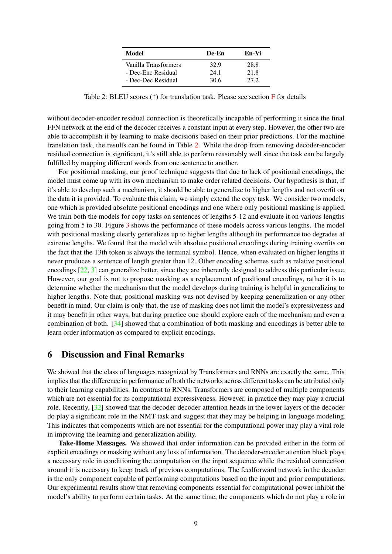| Model                | De-En | En-Vi |
|----------------------|-------|-------|
| Vanilla Transformers | 32.9  | 28.8  |
| - Dec-Enc Residual   | 24.1  | 21.8  |
| - Dec-Dec Residual   | 30.6  | 27.2  |

<span id="page-8-0"></span>Table 2: BLEU scores (↑) for translation task. Please see section [F](#page-26-0) for details

without decoder-encoder residual connection is theoretically incapable of performing it since the final FFN network at the end of the decoder receives a constant input at every step. However, the other two are able to accomplish it by learning to make decisions based on their prior predictions. For the machine translation task, the results can be found in Table [2.](#page-8-0) While the drop from removing decoder-encoder residual connection is significant, it's still able to perform reasonably well since the task can be largely fulfilled by mapping different words from one sentence to another.

For positional masking, our proof technique suggests that due to lack of positional encodings, the model must come up with its own mechanism to make order related decisions. Our hypothesis is that, if it's able to develop such a mechanism, it should be able to generalize to higher lengths and not overfit on the data it is provided. To evaluate this claim, we simply extend the copy task. We consider two models, one which is provided absolute positional encodings and one where only positional masking is applied. We train both the models for copy tasks on sentences of lengths 5-12 and evaluate it on various lengths going from 5 to 30. Figure [3](#page-7-1) shows the performance of these models across various lengths. The model with positional masking clearly generalizes up to higher lengths although its performance too degrades at extreme lengths. We found that the model with absolute positional encodings during training overfits on the fact that the 13th token is always the terminal symbol. Hence, when evaluated on higher lengths it never produces a sentence of length greater than 12. Other encoding schemes such as relative positional encodings [\[22,](#page-10-8) [3\]](#page-9-1) can generalize better, since they are inherently designed to address this particular issue. However, our goal is not to propose masking as a replacement of positional encodings, rather it is to determine whether the mechanism that the model develops during training is helpful in generalizing to higher lengths. Note that, positional masking was not devised by keeping generalization or any other benefit in mind. Our claim is only that, the use of masking does not limit the model's expressiveness and it may benefit in other ways, but during practice one should explore each of the mechanism and even a combination of both. [\[34\]](#page-11-3) showed that a combination of both masking and encodings is better able to learn order information as compared to explicit encodings.

# 6 Discussion and Final Remarks

We showed that the class of languages recognized by Transformers and RNNs are exactly the same. This implies that the difference in performance of both the networks across different tasks can be attributed only to their learning capabilities. In contrast to RNNs, Transformers are composed of multiple components which are not essential for its computational expressiveness. However, in practice they may play a crucial role. Recently, [\[32\]](#page-11-2) showed that the decoder-decoder attention heads in the lower layers of the decoder do play a significant role in the NMT task and suggest that they may be helping in language modeling. This indicates that components which are not essential for the computational power may play a vital role in improving the learning and generalization ability.

Take-Home Messages. We showed that order information can be provided either in the form of explicit encodings or masking without any loss of information. The decoder-encoder attention block plays a necessary role in conditioning the computation on the input sequence while the residual connection around it is necessary to keep track of previous computations. The feedforward network in the decoder is the only component capable of performing computations based on the input and prior computations. Our experimental results show that removing components essential for computational power inhibit the model's ability to perform certain tasks. At the same time, the components which do not play a role in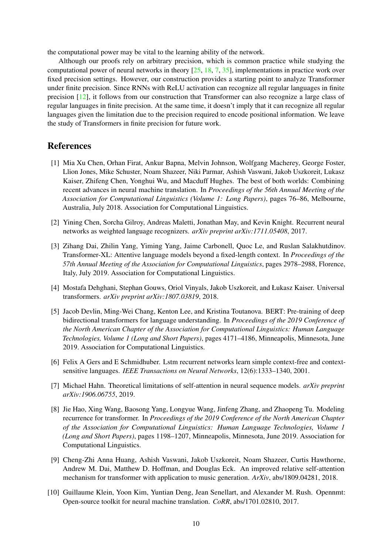the computational power may be vital to the learning ability of the network.

Although our proofs rely on arbitrary precision, which is common practice while studying the computational power of neural networks in theory [\[25,](#page-10-5) [18,](#page-10-6) [7,](#page-9-8) [35\]](#page-11-9), implementations in practice work over fixed precision settings. However, our construction provides a starting point to analyze Transformer under finite precision. Since RNNs with ReLU activation can recognize all regular languages in finite precision [\[12\]](#page-10-12), it follows from our construction that Transformer can also recognize a large class of regular languages in finite precision. At the same time, it doesn't imply that it can recognize all regular languages given the limitation due to the precision required to encode positional information. We leave the study of Transformers in finite precision for future work.

## References

- <span id="page-9-5"></span>[1] Mia Xu Chen, Orhan Firat, Ankur Bapna, Melvin Johnson, Wolfgang Macherey, George Foster, Llion Jones, Mike Schuster, Noam Shazeer, Niki Parmar, Ashish Vaswani, Jakob Uszkoreit, Lukasz Kaiser, Zhifeng Chen, Yonghui Wu, and Macduff Hughes. The best of both worlds: Combining recent advances in neural machine translation. In *Proceedings of the 56th Annual Meeting of the Association for Computational Linguistics (Volume 1: Long Papers)*, pages 76–86, Melbourne, Australia, July 2018. Association for Computational Linguistics.
- <span id="page-9-6"></span>[2] Yining Chen, Sorcha Gilroy, Andreas Maletti, Jonathan May, and Kevin Knight. Recurrent neural networks as weighted language recognizers. *arXiv preprint arXiv:1711.05408*, 2017.
- <span id="page-9-1"></span>[3] Zihang Dai, Zhilin Yang, Yiming Yang, Jaime Carbonell, Quoc Le, and Ruslan Salakhutdinov. Transformer-XL: Attentive language models beyond a fixed-length context. In *Proceedings of the 57th Annual Meeting of the Association for Computational Linguistics*, pages 2978–2988, Florence, Italy, July 2019. Association for Computational Linguistics.
- <span id="page-9-3"></span>[4] Mostafa Dehghani, Stephan Gouws, Oriol Vinyals, Jakob Uszkoreit, and Łukasz Kaiser. Universal transformers. *arXiv preprint arXiv:1807.03819*, 2018.
- <span id="page-9-0"></span>[5] Jacob Devlin, Ming-Wei Chang, Kenton Lee, and Kristina Toutanova. BERT: Pre-training of deep bidirectional transformers for language understanding. In *Proceedings of the 2019 Conference of the North American Chapter of the Association for Computational Linguistics: Human Language Technologies, Volume 1 (Long and Short Papers)*, pages 4171–4186, Minneapolis, Minnesota, June 2019. Association for Computational Linguistics.
- <span id="page-9-7"></span>[6] Felix A Gers and E Schmidhuber. Lstm recurrent networks learn simple context-free and contextsensitive languages. *IEEE Transactions on Neural Networks*, 12(6):1333–1340, 2001.
- <span id="page-9-8"></span>[7] Michael Hahn. Theoretical limitations of self-attention in neural sequence models. *arXiv preprint arXiv:1906.06755*, 2019.
- <span id="page-9-4"></span>[8] Jie Hao, Xing Wang, Baosong Yang, Longyue Wang, Jinfeng Zhang, and Zhaopeng Tu. Modeling recurrence for transformer. In *Proceedings of the 2019 Conference of the North American Chapter of the Association for Computational Linguistics: Human Language Technologies, Volume 1 (Long and Short Papers)*, pages 1198–1207, Minneapolis, Minnesota, June 2019. Association for Computational Linguistics.
- <span id="page-9-2"></span>[9] Cheng-Zhi Anna Huang, Ashish Vaswani, Jakob Uszkoreit, Noam Shazeer, Curtis Hawthorne, Andrew M. Dai, Matthew D. Hoffman, and Douglas Eck. An improved relative self-attention mechanism for transformer with application to music generation. *ArXiv*, abs/1809.04281, 2018.
- <span id="page-9-9"></span>[10] Guillaume Klein, Yoon Kim, Yuntian Deng, Jean Senellart, and Alexander M. Rush. Opennmt: Open-source toolkit for neural machine translation. *CoRR*, abs/1701.02810, 2017.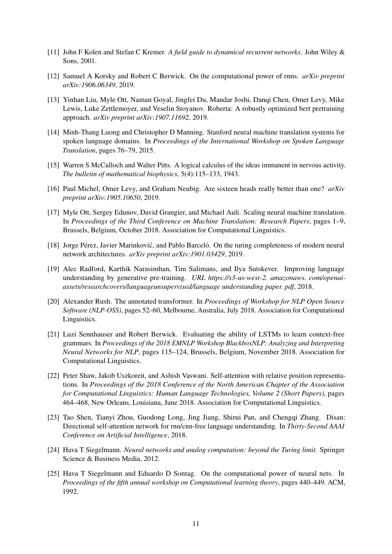- <span id="page-10-3"></span>[11] John F Kolen and Stefan C Kremer. *A field guide to dynamical recurrent networks*. John Wiley & Sons, 2001.
- <span id="page-10-12"></span>[12] Samuel A Korsky and Robert C Berwick. On the computational power of rnns. *arXiv preprint arXiv:1906.06349*, 2019.
- <span id="page-10-2"></span>[13] Yinhan Liu, Myle Ott, Naman Goyal, Jingfei Du, Mandar Joshi, Danqi Chen, Omer Levy, Mike Lewis, Luke Zettlemoyer, and Veselin Stoyanov. Roberta: A robustly optimized bert pretraining approach. *arXiv preprint arXiv:1907.11692*, 2019.
- <span id="page-10-14"></span>[14] Minh-Thang Luong and Christopher D Manning. Stanford neural machine translation systems for spoken language domains. In *Proceedings of the International Workshop on Spoken Language Translation*, pages 76–79, 2015.
- <span id="page-10-10"></span>[15] Warren S McCulloch and Walter Pitts. A logical calculus of the ideas immanent in nervous activity. *The bulletin of mathematical biophysics*, 5(4):115–133, 1943.
- <span id="page-10-7"></span>[16] Paul Michel, Omer Levy, and Graham Neubig. Are sixteen heads really better than one? *arXiv preprint arXiv:1905.10650*, 2019.
- <span id="page-10-0"></span>[17] Myle Ott, Sergey Edunov, David Grangier, and Michael Auli. Scaling neural machine translation. In *Proceedings of the Third Conference on Machine Translation: Research Papers*, pages 1–9, Brussels, Belgium, October 2018. Association for Computational Linguistics.
- <span id="page-10-6"></span>[18] Jorge Pérez, Javier Marinković, and Pablo Barceló. On the turing completeness of modern neural network architectures. *arXiv preprint arXiv:1901.03429*, 2019.
- <span id="page-10-1"></span>[19] Alec Radford, Karthik Narasimhan, Tim Salimans, and Ilya Sutskever. Improving language understanding by generative pre-training. *URL https://s3-us-west-2. amazonaws. com/openaiassets/researchcovers/languageunsupervised/language understanding paper. pdf*, 2018.
- <span id="page-10-13"></span>[20] Alexander Rush. The annotated transformer. In *Proceedings of Workshop for NLP Open Source Software (NLP-OSS)*, pages 52–60, Melbourne, Australia, July 2018. Association for Computational Linguistics.
- <span id="page-10-11"></span>[21] Luzi Sennhauser and Robert Berwick. Evaluating the ability of LSTMs to learn context-free grammars. In *Proceedings of the 2018 EMNLP Workshop BlackboxNLP: Analyzing and Interpreting Neural Networks for NLP*, pages 115–124, Brussels, Belgium, November 2018. Association for Computational Linguistics.
- <span id="page-10-8"></span>[22] Peter Shaw, Jakob Uszkoreit, and Ashish Vaswani. Self-attention with relative position representations. In *Proceedings of the 2018 Conference of the North American Chapter of the Association for Computational Linguistics: Human Language Technologies, Volume 2 (Short Papers)*, pages 464–468, New Orleans, Louisiana, June 2018. Association for Computational Linguistics.
- <span id="page-10-9"></span>[23] Tao Shen, Tianyi Zhou, Guodong Long, Jing Jiang, Shirui Pan, and Chengqi Zhang. Disan: Directional self-attention network for rnn/cnn-free language understanding. In *Thirty-Second AAAI Conference on Artificial Intelligence*, 2018.
- <span id="page-10-4"></span>[24] Hava T Siegelmann. *Neural networks and analog computation: beyond the Turing limit*. Springer Science & Business Media, 2012.
- <span id="page-10-5"></span>[25] Hava T Siegelmann and Eduardo D Sontag. On the computational power of neural nets. In *Proceedings of the fifth annual workshop on Computational learning theory*, pages 440–449. ACM, 1992.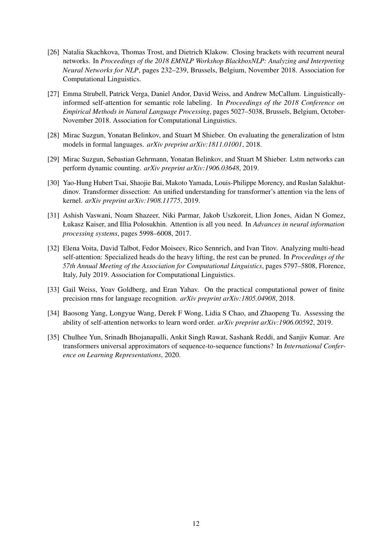- <span id="page-11-8"></span>[26] Natalia Skachkova, Thomas Trost, and Dietrich Klakow. Closing brackets with recurrent neural networks. In *Proceedings of the 2018 EMNLP Workshop BlackboxNLP: Analyzing and Interpreting Neural Networks for NLP*, pages 232–239, Brussels, Belgium, November 2018. Association for Computational Linguistics.
- <span id="page-11-1"></span>[27] Emma Strubell, Patrick Verga, Daniel Andor, David Weiss, and Andrew McCallum. Linguisticallyinformed self-attention for semantic role labeling. In *Proceedings of the 2018 Conference on Empirical Methods in Natural Language Processing*, pages 5027–5038, Brussels, Belgium, October-November 2018. Association for Computational Linguistics.
- <span id="page-11-5"></span>[28] Mirac Suzgun, Yonatan Belinkov, and Stuart M Shieber. On evaluating the generalization of lstm models in formal languages. *arXiv preprint arXiv:1811.01001*, 2018.
- <span id="page-11-7"></span>[29] Mirac Suzgun, Sebastian Gehrmann, Yonatan Belinkov, and Stuart M Shieber. Lstm networks can perform dynamic counting. *arXiv preprint arXiv:1906.03648*, 2019.
- <span id="page-11-4"></span>[30] Yao-Hung Hubert Tsai, Shaojie Bai, Makoto Yamada, Louis-Philippe Morency, and Ruslan Salakhutdinov. Transformer dissection: An unified understanding for transformer's attention via the lens of kernel. *arXiv preprint arXiv:1908.11775*, 2019.
- <span id="page-11-0"></span>[31] Ashish Vaswani, Noam Shazeer, Niki Parmar, Jakob Uszkoreit, Llion Jones, Aidan N Gomez, Łukasz Kaiser, and Illia Polosukhin. Attention is all you need. In *Advances in neural information processing systems*, pages 5998–6008, 2017.
- <span id="page-11-2"></span>[32] Elena Voita, David Talbot, Fedor Moiseev, Rico Sennrich, and Ivan Titov. Analyzing multi-head self-attention: Specialized heads do the heavy lifting, the rest can be pruned. In *Proceedings of the 57th Annual Meeting of the Association for Computational Linguistics*, pages 5797–5808, Florence, Italy, July 2019. Association for Computational Linguistics.
- <span id="page-11-6"></span>[33] Gail Weiss, Yoav Goldberg, and Eran Yahav. On the practical computational power of finite precision rnns for language recognition. *arXiv preprint arXiv:1805.04908*, 2018.
- <span id="page-11-3"></span>[34] Baosong Yang, Longyue Wang, Derek F Wong, Lidia S Chao, and Zhaopeng Tu. Assessing the ability of self-attention networks to learn word order. *arXiv preprint arXiv:1906.00592*, 2019.
- <span id="page-11-9"></span>[35] Chulhee Yun, Srinadh Bhojanapalli, Ankit Singh Rawat, Sashank Reddi, and Sanjiv Kumar. Are transformers universal approximators of sequence-to-sequence functions? In *International Conference on Learning Representations*, 2020.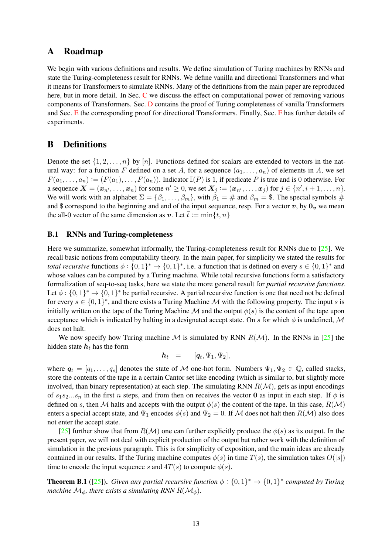# A Roadmap

We begin with varions definitions and results. We define simulation of Turing machines by RNNs and state the Turing-completeness result for RNNs. We define vanilla and directional Transformers and what it means for Transformers to simulate RNNs. Many of the definitions from the main paper are reproduced here, but in more detail. In Sec. [C](#page-15-0) we discuss the effect on computational power of removing various components of Transformers. Sec. [D](#page-16-0) contains the proof of Turing completeness of vanilla Transformers and Sec. [E](#page-19-0) the corresponding proof for directional Transformers. Finally, Sec. [F](#page-26-0) has further details of experiments.

# B Definitions

Denote the set  $\{1, 2, \ldots, n\}$  by  $[n]$ . Functions defined for scalars are extended to vectors in the natural way: for a function F defined on a set A, for a sequence  $(a_1, \ldots, a_n)$  of elements in A, we set  $F(a_1, \ldots, a_n) := (F(a_1), \ldots, F(a_n))$ . Indicator  $\mathbb{I}(P)$  is 1, if predicate P is true and is 0 otherwise. For a sequence  $\boldsymbol{X} = (\boldsymbol{x}_{n'}, \dots, \boldsymbol{x}_{n})$  for some  $n' \geq 0$ , we set  $\boldsymbol{X}_j := (\boldsymbol{x}_{n'}, \dots, \boldsymbol{x}_{j})$  for  $j \in \{n', i+1, \dots, n\}$ . We will work with an alphabet  $\Sigma = {\beta_1, \ldots, \beta_m}$ , with  $\beta_1 = \text{\#}$  and  $\beta_m = \text{\$}$ . The special symbols  $\text{\#}$ and \$ correspond to the beginning and end of the input sequence, resp. For a vector  $v$ , by  $0_v$  we mean the all-0 vector of the same dimension as v. Let  $\bar{t} := \min\{t, n\}$ 

### <span id="page-12-0"></span>B.1 RNNs and Turing-completeness

Here we summarize, somewhat informally, the Turing-completeness result for RNNs due to [\[25\]](#page-10-5). We recall basic notions from computability theory. In the main paper, for simplicity we stated the results for *total recursive* functions  $\phi: \{0,1\}^* \to \{0,1\}^*$ , i.e. a function that is defined on every  $s \in \{0,1\}^*$  and whose values can be computed by a Turing machine. While total recursive functions form a satisfactory formalization of seq-to-seq tasks, here we state the more general result for *partial recursive functions*. Let  $\phi: \{0,1\}^* \to \{0,1\}^*$  be partial recursive. A partial recursive function is one that need not be defined for every  $s \in \{0,1\}^*$ , and there exists a Turing Machine M with the following property. The input s is initially written on the tape of the Turing Machine M and the output  $\phi(s)$  is the content of the tape upon acceptance which is indicated by halting in a designated accept state. On s for which  $\phi$  is undefined, M does not halt.

We now specify how Turing machine M is simulated by RNN  $R(M)$ . In the RNNs in [\[25\]](#page-10-5) the hidden state  $h_t$  has the form

$$
\boldsymbol{h}_t = [\boldsymbol{q}_t, \Psi_1, \Psi_2],
$$

where  $q_t = [q_1, \ldots, q_s]$  denotes the state of M one-hot form. Numbers  $\Psi_1, \Psi_2 \in \mathbb{Q}$ , called stacks, store the contents of the tape in a certain Cantor set like encoding (which is similar to, but slightly more involved, than binary representation) at each step. The simulating RNN  $R(M)$ , gets as input encodings of  $s_1s_2...s_n$  in the first n steps, and from then on receives the vector 0 as input in each step. If  $\phi$  is defined on s, then M halts and accepts with the output  $\phi(s)$  the content of the tape. In this case,  $R(\mathcal{M})$ enters a special accept state, and  $\Psi_1$  encodes  $\phi(s)$  and  $\Psi_2 = 0$ . If M does not halt then  $R(\mathcal{M})$  also does not enter the accept state.

[\[25\]](#page-10-5) further show that from  $R(\mathcal{M})$  one can further explicitly produce the  $\phi(s)$  as its output. In the present paper, we will not deal with explicit production of the output but rather work with the definition of simulation in the previous paragraph. This is for simplicity of exposition, and the main ideas are already contained in our results. If the Turing machine computes  $\phi(s)$  in time  $T(s)$ , the simulation takes  $O(|s|)$ time to encode the input sequence s and  $4T(s)$  to compute  $\phi(s)$ .

<span id="page-12-1"></span>**Theorem B.1** ([\[25\]](#page-10-5)). Given any partial recursive function  $\phi$  :  $\{0,1\}^* \to \{0,1\}^*$  computed by Turing *machine*  $M_{\phi}$ *, there exists a simulating RNN R(* $M_{\phi}$ *).*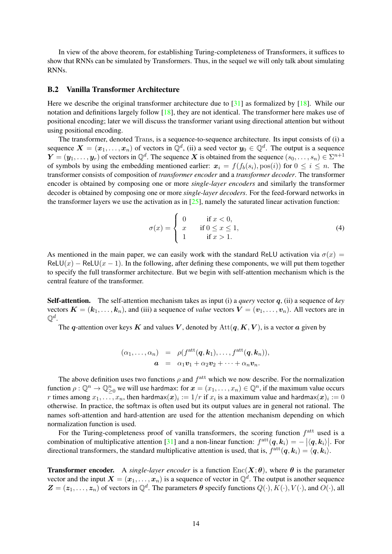In view of the above theorem, for establishing Turing-completeness of Transformers, it suffices to show that RNNs can be simulated by Transformers. Thus, in the sequel we will only talk about simulating RNNs.

### B.2 Vanilla Transformer Architecture

Here we describe the original transformer architecture due to [\[31\]](#page-11-0) as formalized by [\[18\]](#page-10-6). While our notation and definitions largely follow [\[18\]](#page-10-6), they are not identical. The transformer here makes use of positional encoding; later we will discuss the transformer variant using directional attention but without using positional encoding.

The transformer, denoted Trans, is a sequence-to-sequence architecture. Its input consists of (i) a sequence  $X = (x_1, \ldots, x_n)$  of vectors in  $\mathbb{Q}^d$ , (ii) a seed vector  $y_0 \in \mathbb{Q}^d$ . The output is a sequence  $\bm{Y}=(\bm{y}_1,\ldots,\bm{y}_r)$  of vectors in  $\mathbb{Q}^d$ . The sequence  $\bm{X}$  is obtained from the sequence  $(s_0,\ldots,s_n)\in \Sigma^{n+1}$ of symbols by using the embedding mentioned earlier:  $x_i = f(f_b(s_i), pos(i))$  for  $0 \le i \le n$ . The transformer consists of composition of *transformer encoder* and a *transformer decoder*. The transformer encoder is obtained by composing one or more *single-layer encoders* and similarly the transformer decoder is obtained by composing one or more *single-layer decoders*. For the feed-forward networks in the transformer layers we use the activation as in  $[25]$ , namely the saturated linear activation function:

$$
\sigma(x) = \begin{cases}\n0 & \text{if } x < 0, \\
x & \text{if } 0 \le x \le 1, \\
1 & \text{if } x > 1.\n\end{cases}
$$
\n(4)

As mentioned in the main paper, we can easily work with the standard ReLU activation via  $\sigma(x)$  =  $ReLU(x) - RelU(x - 1)$ . In the following, after defining these components, we will put them together to specify the full transformer architecture. But we begin with self-attention mechanism which is the central feature of the transformer.

Self-attention. The self-attention mechanism takes as input (i) a *query* vector q, (ii) a sequence of *key* vectors  $\mathbf{K} = (\mathbf{k}_1, \dots, \mathbf{k}_n)$ , and (iii) a sequence of *value* vectors  $\mathbf{V} = (\mathbf{v}_1, \dots, \mathbf{v}_n)$ . All vectors are in  $\mathbb{Q}^d.$ 

The q-attention over keys K and values V, denoted by  $\text{Att}(q, K, V)$ , is a vector a given by

$$
(\alpha_1,\ldots,\alpha_n) = \rho(f^{\text{att}}(\boldsymbol{q},\boldsymbol{k}_1),\ldots,f^{\text{att}}(\boldsymbol{q},\boldsymbol{k}_n)),
$$
  

$$
\boldsymbol{a} = \alpha_1\boldsymbol{v}_1 + \alpha_2\boldsymbol{v}_2 + \cdots + \alpha_n\boldsymbol{v}_n.
$$

The above definition uses two functions  $\rho$  and  $f^{\text{att}}$  which we now describe. For the normalization function  $\rho: \mathbb{Q}^n \to \mathbb{Q}_{\geq 0}^n$  we will use hardmax: for  $\boldsymbol{x} = (x_1, \dots, x_n) \in \mathbb{Q}^n$ , if the maximum value occurs  $r$  times among  $x_1, \ldots, x_n$ , then hardmax $(\bm{x})_i := 1/r$  if  $x_i$  is a maximum value and hardmax $(\bm{x})_i := 0$ otherwise. In practice, the softmax is often used but its output values are in general not rational. The names soft-attention and hard-attention are used for the attention mechanism depending on which normalization function is used.

For the Turing-completeness proof of vanilla transformers, the scoring function  $f<sup>att</sup>$  used is a combination of multiplicative attention [\[31\]](#page-11-0) and a non-linear function:  $f^{\text{att}}(q, k_i) = - |\langle q, k_i \rangle|$ . For directional transformers, the standard multiplicative attention is used, that is,  $f^{\text{att}}(q, k_i) = \langle q, k_i \rangle$ .

**Transformer encoder.** A *single-layer encoder* is a function  $Enc(X; \theta)$ , where  $\theta$  is the parameter vector and the input  $X = (x_1, \ldots, x_n)$  is a sequence of vector in  $\mathbb{Q}^d$ . The output is another sequence  $\mathbf{Z} = (z_1, \ldots, z_n)$  of vectors in  $\mathbb{Q}^d$ . The parameters  $\boldsymbol{\theta}$  specify functions  $Q(\cdot), K(\cdot), V(\cdot)$ , and  $O(\cdot)$ , all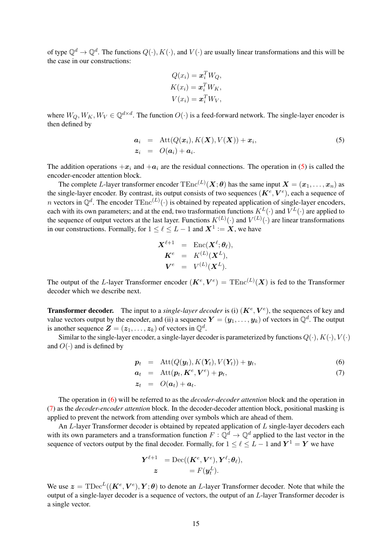of type  $\mathbb{Q}^d \to \mathbb{Q}^d$ . The functions  $Q(\cdot), K(\cdot)$ , and  $V(\cdot)$  are usually linear transformations and this will be the case in our constructions:

$$
Q(x_i) = \boldsymbol{x}_i^T W_Q,
$$
  
\n
$$
K(x_i) = \boldsymbol{x}_i^T W_K,
$$
  
\n
$$
V(x_i) = \boldsymbol{x}_i^T W_V,
$$

where  $W_Q, W_K, W_V \in \mathbb{Q}^{d \times d}$ . The function  $O(\cdot)$  is a feed-forward network. The single-layer encoder is then defined by

<span id="page-14-0"></span>
$$
\begin{array}{rcl}\n\mathbf{a}_i & = & \text{Att}(Q(\mathbf{x}_i), K(\mathbf{X}), V(\mathbf{X})) + \mathbf{x}_i, \\
\mathbf{z}_i & = & O(\mathbf{a}_i) + \mathbf{a}_i.\n\end{array} \tag{5}
$$

The addition operations  $+x_i$  and  $+a_i$  are the residual connections. The operation in [\(5\)](#page-14-0) is called the encoder-encoder attention block.

The complete L-layer transformer encoder  $\text{TEnc}^{(L)}(\bm{X};\bm{\theta})$  has the same input  $\bm{X}=(\bm{x}_1,\dots,\bm{x}_n)$  as the single-layer encoder. By contrast, its output consists of two sequences  $(\mathbf{K}^e, \mathbf{V}^e)$ , each a sequence of n vectors in  $\mathbb{Q}^d$ . The encoder  $\text{TEnc}^{(L)}(\cdot)$  is obtained by repeated application of single-layer encoders, each with its own parameters; and at the end, two trasformation functions  $K^L(\cdot)$  and  $V^L(\cdot)$  are applied to the sequence of output vectors at the last layer. Functions  $K^{(L)}(\cdot)$  and  $V^{(L)}(\cdot)$  are linear transformations in our constructions. Formally, for  $1 \leq \ell \leq L - 1$  and  $X^1 := X$ , we have

$$
\begin{array}{ccc} \boldsymbol{X}^{\ell+1} & = & \text{Enc}(\boldsymbol{X}^{\ell};\boldsymbol{\theta}_{\ell}), \\ \boldsymbol{K}^{e} & = & K^{(L)}(\boldsymbol{X}^{L}), \\ \boldsymbol{V}^{e} & = & V^{(L)}(\boldsymbol{X}^{L}). \end{array}
$$

The output of the L-layer Transformer encoder  $(K^e, V^e) = \text{TEnc}^{(L)}(X)$  is fed to the Transformer decoder which we describe next.

**Transformer decoder.** The input to a *single-layer decoder* is (i)  $(K^e, V^e)$ , the sequences of key and value vectors output by the encoder, and (ii) a sequence  $\bm{Y} = (\bm{y}_1, \ldots, \bm{y}_k)$  of vectors in  $\mathbb{Q}^d$ . The output is another sequence  $\mathbf{Z} = (z_1, \dots, z_k)$  of vectors in  $\mathbb{Q}^d$ .

Similar to the single-layer encoder, a single-layer decoder is parameterized by functions  $Q(\cdot), K(\cdot), V(\cdot)$ and  $O(·)$  and is defined by

<span id="page-14-1"></span>
$$
\boldsymbol{p}_t = \text{Att}(Q(\boldsymbol{y}_t), K(\boldsymbol{Y}_t), V(\boldsymbol{Y}_t)) + \boldsymbol{y}_t, \tag{6}
$$

$$
a_t = \text{Att}(p_t, \boldsymbol{K}^e, \boldsymbol{V}^e) + p_t, \tag{7}
$$

$$
\boldsymbol{z}_t \hspace{2mm} = \hspace{2mm} O(\boldsymbol{a}_t) + \boldsymbol{a}_t.
$$

The operation in [\(6\)](#page-14-1) will be referred to as the *decoder-decoder attention* block and the operation in [\(7\)](#page-14-1) as the *decoder-encoder attention* block. In the decoder-decoder attention block, positional masking is applied to prevent the network from attending over symbols which are ahead of them.

An L-layer Transformer decoder is obtained by repeated application of L single-layer decoders each with its own parameters and a transformation function  $F: \mathbb{Q}^d \to \mathbb{Q}^d$  applied to the last vector in the sequence of vectors output by the final decoder. Formally, for  $1 \leq \ell \leq L - 1$  and  $Y^1 = Y$  we have

$$
\begin{aligned} \boldsymbol{Y}^{\ell+1} \quad & = \text{Dec}((\boldsymbol{K}^{e},\boldsymbol{V}^{e}),\boldsymbol{Y}^{\ell};\boldsymbol{\theta}_{\ell}), \\ & \boldsymbol{z} \qquad \qquad = F(\boldsymbol{y}^{L}_{t}). \end{aligned}
$$

We use  $\boldsymbol{z} = \text{TDec}^L((\boldsymbol{K}^e, \boldsymbol{V}^e), \boldsymbol{Y}; \boldsymbol{\theta})$  to denote an *L*-layer Transformer decoder. Note that while the output of a single-layer decoder is a sequence of vectors, the output of an L-layer Transformer decoder is a single vector.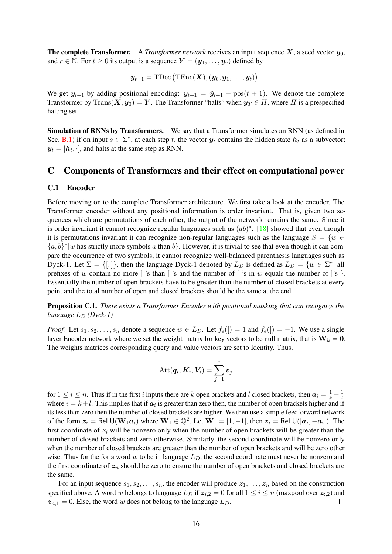**The complete Transformer.** A *Transformer network* receives an input sequence  $X$ , a seed vector  $y_0$ , and  $r \in \mathbb{N}$ . For  $t \geq 0$  its output is a sequence  $\mathbf{Y} = (\mathbf{y}_1, \dots, \mathbf{y}_r)$  defined by

$$
\tilde{\boldsymbol{y}}_{t+1}=\text{TDec}\left(\text{TEnc}(\boldsymbol{X}), (\boldsymbol{y}_0, \boldsymbol{y}_1, \dots, \boldsymbol{y}_t)\right).
$$

We get  $y_{t+1}$  by adding positional encoding:  $y_{t+1} = \tilde{y}_{t+1} + \text{pos}(t+1)$ . We denote the complete Transformer by Trans $(X, y_0) = Y$ . The Transformer "halts" when  $y_T \in H$ , where H is a prespecified halting set.

Simulation of RNNs by Transformers. We say that a Transformer simulates an RNN (as defined in Sec. [B.1\)](#page-12-0) if on input  $s \in \Sigma^*$ , at each step t, the vector  $y_t$  contains the hidden state  $h_t$  as a subvector:  $y_t = [h_t, \cdot]$ , and halts at the same step as RNN.

# <span id="page-15-0"></span>C Components of Transformers and their effect on computational power

#### C.1 Encoder

Before moving on to the complete Transformer architecture. We first take a look at the encoder. The Transformer encoder without any positional information is order invariant. That is, given two sequences which are permutations of each other, the output of the network remains the same. Since it is order invariant it cannot recognize regular languages such as  $(ab)^*$ . [\[18\]](#page-10-6) showed that even though it is permutations invariant it can recognize non-regular languages such as the language  $S = \{w \in$  ${a, b}^*|w$  has strictly more symbols a than b}. However, it is trivial to see that even though it can compare the occurrence of two symbols, it cannot recognize well-balanced parenthesis languages such as Dyck-1. Let  $\Sigma = \{[,]\}$ , then the language Dyck-1 denoted by  $L_D$  is defined as  $L_D = \{w \in \Sigma^* | \text{ all }$ prefixes of w contain no more | 's than | 's and the number of | 's in w equals the number of | 's  $\}$ . Essentially the number of open brackets have to be greater than the number of closed brackets at every point and the total number of open and closed brackets should be the same at the end.

Proposition C.1. *There exists a Transformer Encoder with positional masking that can recognize the language*  $L_D$  *(Dyck-1)* 

*Proof.* Let  $s_1, s_2, \ldots, s_n$  denote a sequence  $w \in L_D$ . Let  $f_e(\mathfrak{l}) = 1$  and  $f_e(\mathfrak{l}) = -1$ . We use a single layer Encoder network where we set the weight matrix for key vectors to be null matrix, that is  $W_k = 0$ . The weights matrices corresponding query and value vectors are set to Identity. Thus,

$$
\operatorname{Att}(\boldsymbol{q}_i,\boldsymbol{K}_i,\boldsymbol{V}_i)=\sum_{j=1}^i \boldsymbol{v}_j
$$

for  $1 \le i \le n$ . Thus if in the first i inputs there are k open brackets and l closed brackets, then  $a_i = \frac{1}{k} - \frac{1}{l}$ l where  $i = k+l$ . This implies that if  $a_i$  is greater than zero then, the number of open brackets higher and if its less than zero then the number of closed brackets are higher. We then use a simple feedforward network of the form  $z_i = \text{ReLU}(\mathbf{W}_1 \boldsymbol{a}_i)$  where  $\mathbf{W}_1 \in \mathbb{Q}^2$ . Let  $\mathbf{W}_1 = [1, -1]$ , then  $z_i = \text{ReLU}([\boldsymbol{a}_i, -\boldsymbol{a}_i])$ . The first coordinate of  $z_i$  will be nonzero only when the number of open brackets will be greater than the number of closed brackets and zero otherwise. Similarly, the second coordinate will be nonzero only when the number of closed brackets are greater than the number of open brackets and will be zero other wise. Thus for the for a word w to be in language  $L<sub>D</sub>$ , the second coordinate must never be nonzero and the first coordinate of  $z_n$  should be zero to ensure the number of open brackets and closed brackets are the same.

For an input sequence  $s_1, s_2, \ldots, s_n$ , the encoder will produce  $z_1, \ldots, z_n$  based on the construction specified above. A word w belongs to language  $L_D$  if  $z_{i,2} = 0$  for all  $1 \le i \le n$  (maxpool over  $z_{i,2}$ ) and  $z_{n,1} = 0$ . Else, the word w does not belong to the language  $L_D$ .  $\Box$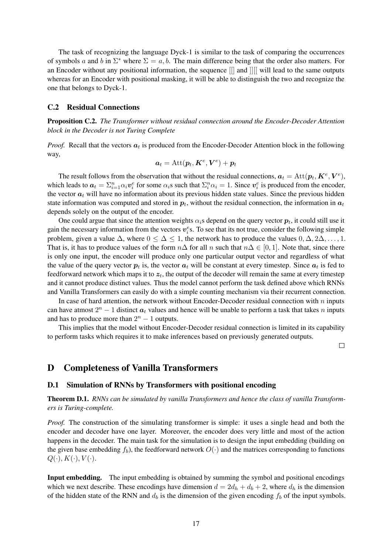The task of recognizing the language Dyck-1 is similar to the task of comparing the occurrences of symbols a and b in  $\Sigma^*$  where  $\Sigma = a, b$ . The main difference being that the order also matters. For an Encoder without any positional information, the sequence [[] and ]][[ will lead to the same outputs whereas for an Encoder with positional masking, it will be able to distinguish the two and recognize the one that belongs to Dyck-1.

### <span id="page-16-1"></span>C.2 Residual Connections

Proposition C.2. *The Transformer without residual connection around the Encoder-Decoder Attention block in the Decoder is not Turing Complete*

*Proof.* Recall that the vectors  $a_t$  is produced from the Encoder-Decoder Attention block in the following way,

$$
\boldsymbol{a}_t = \mathrm{Att}(\boldsymbol{p}_t, \boldsymbol{K}^e, \boldsymbol{V}^e) + \boldsymbol{p}_t
$$

The result follows from the observation that without the residual connections,  $a_t = \text{Att}(p_t, K^e, V^e)$ , which leads to  $a_t = \sum_{i=1}^n \alpha_i v_i^e$  for some  $\alpha_i$ s such that  $\sum_i^n \alpha_i = 1$ . Since  $v_i^e$  is produced from the encoder, the vector  $a_t$  will have no information about its previous hidden state values. Since the previous hidden state information was computed and stored in  $p_t$ , without the residual connection, the information in  $a_t$ depends solely on the output of the encoder.

One could argue that since the attention weights  $\alpha_i$ s depend on the query vector  $p_t$ , it could still use it gain the necessary information from the vectors  $v_i^e$ s. To see that its not true, consider the following simple problem, given a value  $\Delta$ , where  $0 \leq \Delta \leq 1$ , the network has to produce the values  $0, \Delta, 2\Delta, \ldots, 1$ . That is, it has to produce values of the form  $n\Delta$  for all n such that  $n\Delta \in [0,1]$ . Note that, since there is only one input, the encoder will produce only one particular output vector and regardless of what the value of the query vector  $p_t$  is, the vector  $a_t$  will be constant at every timestep. Since  $a_t$  is fed to feedforward network which maps it to  $z_t$ , the output of the decoder will remain the same at every timestep and it cannot produce distinct values. Thus the model cannot perform the task defined above which RNNs and Vanilla Transformers can easily do with a simple counting mechanism via their recurrent connection.

In case of hard attention, the network without Encoder-Decoder residual connection with  $n$  inputs can have atmost  $2^n - 1$  distinct  $a_t$  values and hence will be unable to perform a task that takes n inputs and has to produce more than  $2^n - 1$  outputs.

This implies that the model without Encoder-Decoder residual connection is limited in its capability to perform tasks which requires it to make inferences based on previously generated outputs.

 $\Box$ 

# <span id="page-16-0"></span>D Completeness of Vanilla Transformers

#### D.1 Simulation of RNNs by Transformers with positional encoding

Theorem D.1. *RNNs can be simulated by vanilla Transformers and hence the class of vanilla Transformers is Turing-complete.*

*Proof.* The construction of the simulating transformer is simple: it uses a single head and both the encoder and decoder have one layer. Moreover, the encoder does very little and most of the action happens in the decoder. The main task for the simulation is to design the input embedding (building on the given base embedding  $f_b$ ), the feedforward network  $O(\cdot)$  and the matrices corresponding to functions  $Q(\cdot), K(\cdot), V(\cdot).$ 

Input embedding. The input embedding is obtained by summing the symbol and positional encodings which we next describe. These encodings have dimension  $d = 2d_h + d_b + 2$ , where  $d_h$  is the dimension of the hidden state of the RNN and  $d_b$  is the dimension of the given encoding  $f_b$  of the input symbols.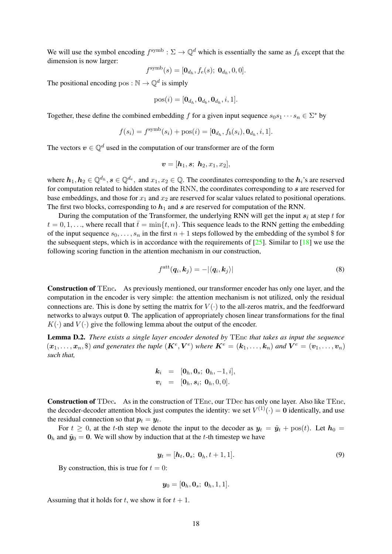We will use the symbol encoding  $f^{symb} : \Sigma \to \mathbb{Q}^d$  which is essentially the same as  $f_b$  except that the dimension is now larger:

$$
f^{\text{symb}}(s) = [\mathbf{0}_{d_h}, f_e(s); \ \mathbf{0}_{d_h}, 0, 0].
$$

The positional encoding pos:  $\mathbb{N} \to \mathbb{Q}^d$  is simply

$$
\text{pos}(i) = [\mathbf{0}_{d_h}, \mathbf{0}_{d_b}, \mathbf{0}_{d_h}, i, 1].
$$

Together, these define the combined embedding f for a given input sequence  $s_0s_1 \cdots s_n \in \Sigma^*$  by

$$
f(s_i) = f^{\text{symb}}(s_i) + \text{pos}(i) = [\mathbf{0}_{d_h}, f_b(s_i), \mathbf{0}_{d_h}, i, 1].
$$

The vectors  $v \in \mathbb{O}^d$  used in the computation of our transformer are of the form

$$
\bm{v} = [\bm{h}_1, \bm{s}; \ \bm{h}_2, x_1, x_2],
$$

where  $h_1, h_2 \in \mathbb{Q}^{d_h}, s \in \mathbb{Q}^{d_e}$ , and  $x_1, x_2 \in \mathbb{Q}$ . The coordinates corresponding to the  $h_i$ 's are reserved for computation related to hidden states of the RNN, the coordinates corresponding to s are reserved for base embeddings, and those for  $x_1$  and  $x_2$  are reserved for scalar values related to positional operations. The first two blocks, corresponding to  $h_1$  and s are reserved for computation of the RNN.

During the computation of the Transformer, the underlying RNN will get the input  $s_{\bar{t}}$  at step t for  $t = 0, 1, \ldots$ , where recall that  $\bar{t} = \min\{t, n\}$ . This sequence leads to the RNN getting the embedding of the input sequence  $s_0, \ldots, s_n$  in the first  $n + 1$  steps followed by the embedding of the symbol \$ for the subsequent steps, which is in accordance with the requirements of  $[25]$ . Similar to  $[18]$  we use the following scoring function in the attention mechanism in our construction,

$$
f^{\text{att}}(\boldsymbol{q}_i, \boldsymbol{k}_j) = -|\langle \boldsymbol{q}_i, \boldsymbol{k}_j \rangle| \tag{8}
$$

Construction of TEnc. As previously mentioned, our transformer encoder has only one layer, and the computation in the encoder is very simple: the attention mechanism is not utilized, only the residual connections are. This is done by setting the matrix for  $V(\cdot)$  to the all-zeros matrix, and the feedforward networks to always output 0. The application of appropriately chosen linear transformations for the final  $K(\cdot)$  and  $V(\cdot)$  give the following lemma about the output of the encoder.

<span id="page-17-0"></span>Lemma D.2. *There exists a single layer encoder denoted by* TEnc *that takes as input the sequence*  $(x_1,\ldots,x_n,\$)$  and generates the tuple  $(K^e, V^e)$  where  $K^e = (k_1,\ldots,k_n)$  and  $V^e = (v_1,\ldots,v_n)$ *such that,*

$$
\begin{array}{rcl}\n\bm{k}_i & = & [\bm{0}_h, \bm{0}_s; \ \bm{0}_h, -1, i], \\
\bm{v}_i & = & [\bm{0}_h, \bm{s}_i; \ \bm{0}_h, 0, 0].\n\end{array}
$$

Construction of TDec. As in the construction of TEnc, our TDec has only one layer. Also like TEnc, the decoder-decoder attention block just computes the identity: we set  $V^{(1)}(\cdot) = 0$  identically, and use the residual connection so that  $p_t = y_t$ .

For  $t \geq 0$ , at the t-th step we denote the input to the decoder as  $y_t = \tilde{y}_t + \text{pos}(t)$ . Let  $h_0 =$  $\mathbf{0}_h$  and  $\tilde{\mathbf{y}}_0 = \mathbf{0}$ . We will show by induction that at the t-th timestep we have

$$
\mathbf{y}_t = [\mathbf{h}_t, \mathbf{0}_s; \ \mathbf{0}_h, t+1, 1]. \tag{9}
$$

By construction, this is true for  $t = 0$ :

$$
\bm{y}_0=[\bm{0}_h,\bm{0}_s;\;\bm{0}_h,1,1].
$$

Assuming that it holds for t, we show it for  $t + 1$ .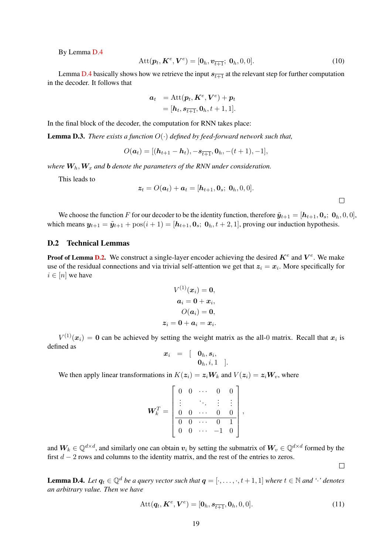By Lemma [D.4](#page-18-1)

$$
Att(\boldsymbol{p}_t, \boldsymbol{K}^e, \boldsymbol{V}^e) = [\boldsymbol{0}_h, \boldsymbol{v}_{\overline{t+1}}; \boldsymbol{0}_h, 0, 0].
$$
\n(10)

Lemma [D.4](#page-18-1) basically shows how we retrieve the input  $s_{\overline{t+1}}$  at the relevant step for further computation in the decoder. It follows that

$$
a_t = \text{Att}(p_t, K^e, V^e) + p_t
$$
  
=  $[h_t, s_{\overline{t+1}}, 0_h, t+1, 1].$ 

In the final block of the decoder, the computation for RNN takes place:

<span id="page-18-0"></span>Lemma D.3. *There exists a function* O(·) *defined by feed-forward network such that,*

$$
O(\boldsymbol{a}_t) = [(\boldsymbol{h}_{t+1} - \boldsymbol{h}_t), -\boldsymbol{s}_{\overline{t+1}}, \boldsymbol{0}_h, -(t+1), -1],
$$

*where*  $W_h$ ,  $W_x$  *and*  $b$  *denote the parameters of the RNN under consideration.* 

This leads to

$$
\boldsymbol{z}_t = O(\boldsymbol{a}_t) + \boldsymbol{a}_t = [\boldsymbol{h}_{t+1}, \boldsymbol{0}_s; \ \boldsymbol{0}_h, 0, 0].
$$

We choose the function F for our decoder to be the identity function, therefore  $\tilde{\mathbf{y}}_{t+1} = [\mathbf{h}_{t+1}, \mathbf{0}_s; \mathbf{0}_h, 0, 0],$ which means  $y_{t+1} = \tilde{y}_{t+1} + \text{pos}(i+1) = [h_{t+1}, \mathbf{0}_s; \mathbf{0}_h, t+2, 1]$ , proving our induction hypothesis.

### D.2 Technical Lemmas

**Proof of Lemma [D.2.](#page-17-0)** We construct a single-layer encoder achieving the desired  $K^e$  and  $V^e$ . We make use of the residual connections and via trivial self-attention we get that  $z_i = x_i$ . More specifically for  $i \in [n]$  we have

$$
V^{(1)}(x_i) = \mathbf{0},
$$
  
\n
$$
\mathbf{a}_i = \mathbf{0} + x_i,
$$
  
\n
$$
O(\mathbf{a}_i) = \mathbf{0},
$$
  
\n
$$
\mathbf{z}_i = \mathbf{0} + \mathbf{a}_i = x_i.
$$

 $V^{(1)}(x_i) = 0$  can be achieved by setting the weight matrix as the all-0 matrix. Recall that  $x_i$  is defined as

$$
\begin{array}{rcl} \boldsymbol{x}_i & = & [ & \boldsymbol{0}_h, \boldsymbol{s}_i, \\ & & \boldsymbol{0}_h, i, 1 \end{array}
$$

 $\cdot$ 

We then apply linear transformations in  $K(z_i) = z_i W_k$  and  $V(z_i) = z_i W_v$ , where

$$
\mathbf{W}_k^T = \begin{bmatrix} 0 & 0 & \cdots & 0 & 0 \\ \vdots & & \ddots & \vdots & \vdots \\ 0 & 0 & \cdots & 0 & 0 \\ \hline 0 & 0 & \cdots & 0 & 1 \\ 0 & 0 & \cdots & -1 & 0 \end{bmatrix},
$$

and  $W_k \in \mathbb{Q}^{d \times d}$ , and similarly one can obtain  $v_i$  by setting the submatrix of  $W_v \in \mathbb{Q}^{d \times d}$  formed by the first  $d - 2$  rows and columns to the identity matrix, and the rest of the entries to zeros.

 $\Box$ 

<span id="page-18-1"></span>**Lemma D.4.** *Let*  $q_t \in \mathbb{Q}^d$  *be a query vector such that*  $q = [\cdot, \dots, \cdot, t + 1, 1]$  *where*  $t \in \mathbb{N}$  *and*  $\cdot$ *' denotes an arbitrary value. Then we have*

$$
Att(\boldsymbol{q}_t, \boldsymbol{K}^e, \boldsymbol{V}^e) = [\boldsymbol{0}_h, \boldsymbol{s}_{\overline{t+1}}, \boldsymbol{0}_h, 0, 0].
$$
\n(11)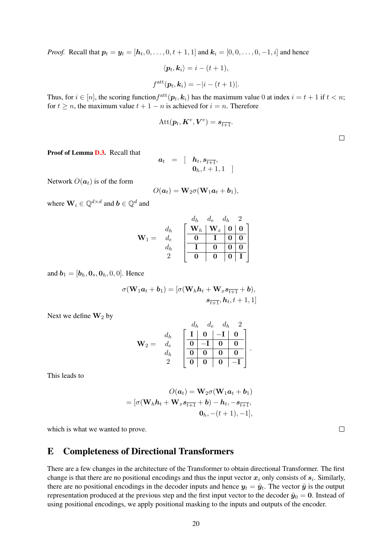*Proof.* Recall that  $p_t = y_t = [h_t, 0, \dots, 0, t + 1, 1]$  and  $k_i = [0, 0, \dots, 0, -1, i]$  and hence

$$
\langle \boldsymbol{p}_t, \boldsymbol{k}_i \rangle = i - (t + 1),
$$
  

$$
f^{\text{att}}(\boldsymbol{p}_t, \boldsymbol{k}_i) = -|i - (t + 1)|.
$$

Thus, for  $i \in [n]$ , the scoring function  $f^{\text{att}}(\mathbf{p}_t, \mathbf{k}_i)$  has the maximum value 0 at index  $i = t + 1$  if  $t < n$ ; for  $t \geq n$ , the maximum value  $t + 1 - n$  is achieved for  $i = n$ . Therefore

$$
\operatorname{Att}(\boldsymbol{p}_t,\boldsymbol{K}^e,\boldsymbol{V}^e)=\boldsymbol{s}_{\overline{t+1}}.
$$

 $\Box$ 

Proof of Lemma [D.3.](#page-18-0) Recall that

$$
\begin{array}{rcl}\n\boldsymbol{a}_t & = & \left[ \quad \boldsymbol{h}_t, \boldsymbol{s}_{\overline{t+1}}, \right. \\
\boldsymbol{0}_h, t+1, 1 & \left. \right] \n\end{array}
$$

Network  $O(a_t)$  is of the form

$$
O(\boldsymbol{a}_t) = \mathbf{W}_2 \sigma(\mathbf{W}_1 \boldsymbol{a}_t + \boldsymbol{b}_1),
$$

where  $\mathbf{W}_i \in \mathbb{Q}^{d \times d}$  and  $\mathbf{b} \in \mathbb{Q}^d$  and

$$
\mathbf{W}_1 = \begin{array}{c} d_h & d_e & d_h & 2 \\ d_h & \begin{bmatrix} \mathbf{W}_h & \mathbf{W}_x & \mathbf{0} & \mathbf{0} \\ \mathbf{0} & \mathbf{I} & \mathbf{0} & \mathbf{0} \\ \hline \mathbf{I} & \mathbf{0} & \mathbf{0} & \mathbf{0} \\ 2 & \mathbf{0} & \mathbf{0} & \mathbf{0} & \mathbf{I} \end{bmatrix} \end{array}
$$

and  $\mathbf{b}_1 = [\mathbf{b}_h, \mathbf{0}_s, \mathbf{0}_h, 0, 0]$ . Hence

$$
\sigma(\mathbf{W}_1\boldsymbol{a}_t+\boldsymbol{b}_1)=[\sigma(\mathbf{W}_h\boldsymbol{h}_t+\mathbf{W}_xs_{\overline{t+1}}+\boldsymbol{b}),\\ \boldsymbol{s}_{\overline{t+1}},\boldsymbol{h}_t,t+1,1]
$$

Next we define  $\mathbf{W}_2$  by

$$
\mathbf{W}_2 = \begin{array}{c} d_h & d_e & d_h & 2 \\ d_e & \boxed{\mathbf{I} & \mathbf{0} & -\mathbf{I} & \mathbf{0} \\ d_h & \boxed{\mathbf{0} & -\mathbf{I} & \mathbf{0} & \mathbf{0} \\ \hline \mathbf{0} & \mathbf{0} & \mathbf{0} & \mathbf{0} & -\mathbf{I} \\ 2 & \boxed{\mathbf{0} & \mathbf{0} & \mathbf{0} & -\mathbf{I} \end{array}}.
$$

This leads to

$$
O(\boldsymbol{a}_t) = \mathbf{W}_2 \sigma(\mathbf{W}_1 \boldsymbol{a}_t + \boldsymbol{b}_1)
$$
  
= 
$$
[\sigma(\mathbf{W}_h \boldsymbol{h}_t + \mathbf{W}_x \boldsymbol{s}_{\overline{t+1}} + \boldsymbol{b}) - \boldsymbol{h}_t, -\boldsymbol{s}_{\overline{t+1}},
$$

$$
\mathbf{0}_h, -(t+1), -1],
$$

which is what we wanted to prove.

# <span id="page-19-0"></span>E Completeness of Directional Transformers

There are a few changes in the architecture of the Transformer to obtain directional Transformer. The first change is that there are no positional encodings and thus the input vector  $x_i$  only consists of  $s_i$ . Similarly, there are no positional encodings in the decoder inputs and hence  $y_t = \tilde{y}_t$ . The vector  $\tilde{y}$  is the output representation produced at the previous step and the first input vector to the decoder  $\tilde{y}_0 = 0$ . Instead of using positional encodings, we apply positional masking to the inputs and outputs of the encoder.

 $\Box$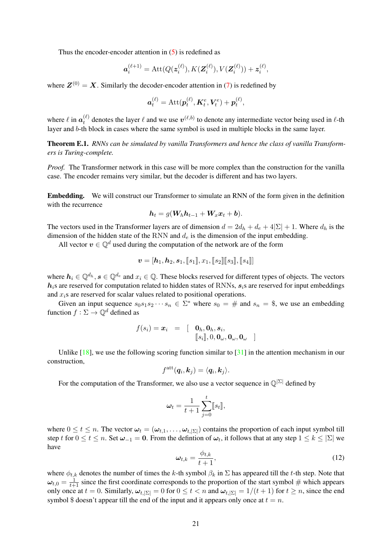Thus the encoder-encoder attention in [\(5\)](#page-14-0) is redefined as

$$
\mathbf{a}_{i}^{(\ell+1)} = \text{Att}(Q(\mathbf{z}_{i}^{(\ell)}), K(\mathbf{Z}_{i}^{(\ell)}), V(\mathbf{Z}_{i}^{(\ell)})) + \mathbf{z}_{i}^{(\ell)},
$$

where  $Z^{(0)} = X$ . Similarly the decoder-encoder attention in [\(7\)](#page-14-1) is redefined by

$$
\boldsymbol{a}_t^{(\ell)} = \text{Att}(\boldsymbol{p}_t^{(\ell)}, \boldsymbol{K}_t^e, \boldsymbol{V}_t^e) + \boldsymbol{p}_t^{(\ell)},
$$

where  $\ell$  in  $\mathbf{a}_t^{(\ell)}$  $t_t^{(\ell)}$  denotes the layer  $\ell$  and we use  $v^{(\ell,b)}$  to denote any intermediate vector being used in  $\ell$ -th layer and b-th block in cases where the same symbol is used in multiple blocks in the same layer.

Theorem E.1. *RNNs can be simulated by vanilla Transformers and hence the class of vanilla Transformers is Turing-complete.*

*Proof.* The Transformer network in this case will be more complex than the construction for the vanilla case. The encoder remains very similar, but the decoder is different and has two layers.

Embedding. We will construct our Transformer to simulate an RNN of the form given in the definition with the recurrence

$$
\boldsymbol{h}_t = g(\boldsymbol{W}_h \boldsymbol{h}_{t-1} + \boldsymbol{W}_x \boldsymbol{x}_t + \boldsymbol{b}).
$$

The vectors used in the Transformer layers are of dimension  $d = 2d_h + d_e + 4|\Sigma| + 1$ . Where  $d_h$  is the dimension of the hidden state of the RNN and  $d_e$  is the dimension of the input embedding.

All vector  $v \in \mathbb{Q}^d$  used during the computation of the network are of the form

$$
\boldsymbol{v} = [\boldsymbol{h}_1, \boldsymbol{h}_2, \boldsymbol{s}_1, \llbracket s_1 \rrbracket, x_1, \llbracket s_2 \rrbracket \llbracket s_3 \rrbracket, \llbracket s_4 \rrbracket]
$$

where  $h_i \in \mathbb{Q}^{d_h}$ ,  $s \in \mathbb{Q}^{d_e}$  and  $x_i \in \mathbb{Q}$ . These blocks reserved for different types of objects. The vectors  $h_i$ s are reserved for computation related to hidden states of RNNs,  $s_i$ s are reserved for input embeddings and  $x_i$ s are reserved for scalar values related to positional operations.

Given an input sequence  $s_0s_1s_2\cdots s_n \in \Sigma^*$  where  $s_0 = \#$  and  $s_n = \$$ , we use an embedding function  $f : \Sigma \to \mathbb{Q}^d$  defined as

$$
f(s_i) = \boldsymbol{x}_i = \begin{bmatrix} \mathbf{0}_h, \mathbf{0}_h, s_i, \\ \llbracket s_i \rrbracket, 0, \mathbf{0}_\omega, \mathbf{0}_\omega, \mathbf{0}_\omega \end{bmatrix}
$$

Unlike [\[18\]](#page-10-6), we use the following scoring function similar to [\[31\]](#page-11-0) in the attention mechanism in our construction,

$$
f^{\rm att}(\bm{q}_i, \bm{k}_j) = \langle \bm{q}_i, \bm{k}_j \rangle.
$$

For the computation of the Transformer, we also use a vector sequence in  $\mathbb{Q}^{\vert \Sigma \vert}$  defined by

$$
\boldsymbol{\omega}_t = \frac{1}{t+1} \sum_{j=0}^t [\![s_t]\!],
$$

where  $0 \le t \le n$ . The vector  $\omega_t = (\omega_{t,1}, \dots, \omega_{t,|\Sigma|})$  contains the proportion of each input symbol till step t for  $0 \le t \le n$ . Set  $\omega_{-1} = 0$ . From the defintion of  $\omega_t$ , it follows that at any step  $1 \le k \le |\Sigma|$  we have

$$
\omega_{t,k} = \frac{\phi_{t,k}}{t+1},\tag{12}
$$

where  $\phi_{t,k}$  denotes the number of times the k-th symbol  $\beta_k$  in  $\Sigma$  has appeared till the t-th step. Note that  $\omega_{t,0} = \frac{1}{t+1}$  since the first coordinate corresponds to the proportion of the start symbol # which appears only once at  $t = 0$ . Similarly,  $\omega_{t,|\Sigma|} = 0$  for  $0 \le t < n$  and  $\omega_{t,|\Sigma|} = 1/(t+1)$  for  $t \ge n$ , since the end symbol \$ doesn't appear till the end of the input and it appears only once at  $t = n$ .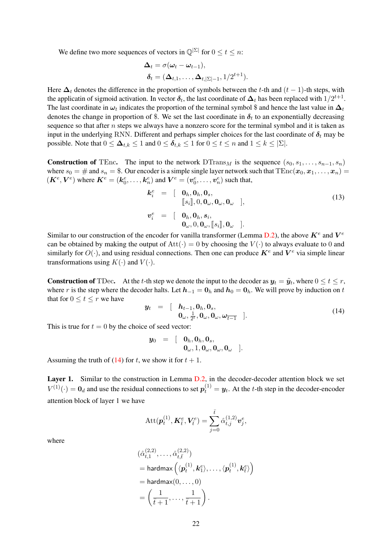We define two more sequences of vectors in  $\mathbb{Q}^{\vert \Sigma \vert}$  for  $0 \le t \le n$ :

$$
\begin{aligned} \bm{\Delta}_t &= \sigma(\bm{\omega}_t - \bm{\omega}_{t-1}), \\ \bm{\delta}_t &= (\bm{\Delta}_{t,1}, \dots, \bm{\Delta}_{t,|\Sigma|-1}, 1/2^{t+1}). \end{aligned}
$$

Here  $\Delta_t$  denotes the difference in the proportion of symbols between the t-th and  $(t - 1)$ -th steps, with the applicatin of sigmoid activation. In vector  $\delta_t$ , the last coordinate of  $\Delta_t$  has been replaced with  $1/2^{t+1}$ . The last coordinate in  $\omega_t$  indicates the proportion of the terminal symbol \$ and hence the last value in  $\Delta_t$ denotes the change in proportion of \$. We set the last coordinate in  $\delta_t$  to an exponentially decreasing sequence so that after  $n$  steps we always have a nonzero score for the terminal symbol and it is taken as input in the underlying RNN. Different and perhaps simpler choices for the last coordinate of  $\delta_t$  may be possible. Note that  $0 \leq \Delta_{t,k} \leq 1$  and  $0 \leq \delta_{t,k} \leq 1$  for  $0 \leq t \leq n$  and  $1 \leq k \leq |\Sigma|$ .

**Construction of** TEnc. The input to the network DTrans<sub>M</sub> is the sequence  $(s_0, s_1, \ldots, s_{n-1}, s_n)$ where  $s_0 = \#$  and  $s_n =$  \$. Our encoder is a simple single layer network such that  $\text{TEnc}(x_0, x_1, \ldots, x_n) =$  $(K^e, V^e)$  where  $K^e = (k_0^e, \dots, k_n^e)$  and  $V^e = (v_0^e, \dots, v_n^e)$  such that,

<span id="page-21-1"></span>
$$
\mathbf{k}_{i}^{e} = \begin{bmatrix} \mathbf{0}_{h}, \mathbf{0}_{h}, \mathbf{0}_{s}, \\ \llbracket s_{i} \rrbracket, 0, \mathbf{0}_{\omega}, \mathbf{0}_{\omega}, \mathbf{0}_{\omega} \end{bmatrix},
$$
\n
$$
\mathbf{v}_{i}^{e} = \begin{bmatrix} \mathbf{0}_{h}, \mathbf{0}_{h}, s_{i}, \\ \mathbf{0}_{\omega}, 0, \mathbf{0}_{\omega}, \llbracket s_{i} \rrbracket, \mathbf{0}_{\omega} \end{bmatrix}.
$$
\n(13)

Similar to our construction of the encoder for vanilla transformer (Lemma [D.2\)](#page-17-0), the above  $K^e$  and  $V^e$ can be obtained by making the output of Att( $\cdot$ ) = 0 by choosing the  $V(\cdot)$  to always evaluate to 0 and similarly for  $O(\cdot)$ , and using residual connections. Then one can produce  $\mathbf{K}^e$  and  $\mathbf{V}^e$  via simple linear transformations using  $K(\cdot)$  and  $V(\cdot)$ .

**Construction of** TDec. At the t-th step we denote the input to the decoder as  $y_t = \tilde{y}_t$ , where  $0 \le t \le r$ , where r is the step where the decoder halts. Let  $h_{-1} = 0_h$  and  $h_0 = 0_h$ . We will prove by induction on t that for  $0 \le t \le r$  we have

<span id="page-21-0"></span>
$$
\mathbf{y}_t = \begin{bmatrix} \mathbf{h}_{t-1}, \mathbf{0}_h, \mathbf{0}_s, \\ \mathbf{0}_\omega, \frac{1}{2^t}, \mathbf{0}_\omega, \mathbf{0}_\omega, \boldsymbol{\omega}_{\overline{t-1}} \end{bmatrix} . \tag{14}
$$

This is true for  $t = 0$  by the choice of seed vector:

$$
\mathbf{y}_0 = [\mathbf{0}_h, \mathbf{0}_h, \mathbf{0}_s, \mathbf{0}_\omega, 1, \mathbf{0}_\omega, \mathbf{0}_\omega, \mathbf{0}_\omega, \mathbf{0}_\omega].
$$

Assuming the truth of [\(14\)](#page-21-0) for t, we show it for  $t + 1$ .

Layer 1. Similar to the construction in Lemma [D.2,](#page-17-0) in the decoder-decoder attention block we set  $V^{(1)}(\cdot) = \mathbf{0}_d$  and use the residual connections to set  $p_t^{(1)} = y_t$ . At the t-th step in the decoder-encoder attention block of layer 1 we have

$$
\text{Att}(\boldsymbol{p}_t^{(1)}, \boldsymbol{K}_t^e, \boldsymbol{V}_t^e) = \sum_{j=0}^{\bar{t}} \hat{\alpha}_{t,j}^{(1,2)} \boldsymbol{v}_j^e,
$$

where

$$
\begin{aligned} &(\hat{\alpha}_{t,1}^{(2,2)},\ldots,\hat{\alpha}_{t,\bar{t}}^{(2,2)})\\ &=\text{hardmax}\left(\langle\boldsymbol{p}_t^{(1)},\boldsymbol{k}_1^e\rangle,\ldots,\langle\boldsymbol{p}_t^{(1)},\boldsymbol{k}_{\bar{t}}^e\rangle\right)\\ &=\text{hardmax}(0,\ldots,0)\\ &=\left(\frac{1}{\bar{t}+1},\ldots,\frac{1}{\bar{t}+1}\right). \end{aligned}
$$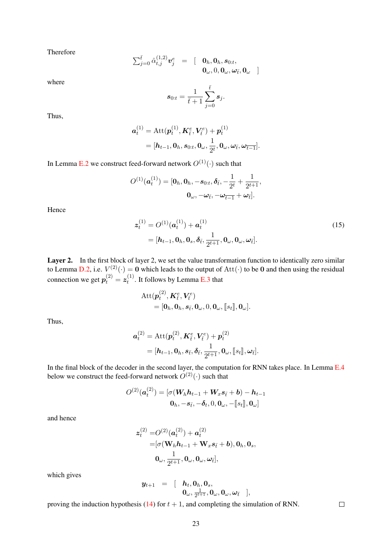Therefore

$$
\sum_{j=0}^{\bar{t}}\hat{\alpha}_{t,j}^{(1,2)}\boldsymbol{v}_{j}^{e} = \begin{bmatrix} \mathbf{0}_{h},\mathbf{0}_{h},\boldsymbol{s}_{0:t},\\ \mathbf{0}_{\omega},\mathbf{0},\mathbf{0}_{\omega},\boldsymbol{\omega}_{\bar{t}},\mathbf{0}_{\omega} \end{bmatrix}
$$

where

$$
s_{0:t} = \frac{1}{\bar{t}+1} \sum_{j=0}^{\bar{t}} s_j.
$$

Thus,

$$
\mathbf{a}_t^{(1)} = \text{Att}(\mathbf{p}_t^{(1)}, \mathbf{K}_{\bar{t}}^e, \mathbf{V}_{\bar{t}}^e) + \mathbf{p}_t^{(1)}
$$
  
=  $[\mathbf{h}_{t-1}, \mathbf{0}_h, \mathbf{s}_{0:t}, \mathbf{0}_{\omega}, \frac{1}{2^t}, \mathbf{0}_{\omega}, \omega_{\bar{t}}, \omega_{\bar{t-1}}].$ 

In Lemma [E.2](#page-23-0) we construct feed-forward network  $O^{(1)}(\cdot)$  such that

$$
O^{(1)}(\boldsymbol{a}_t^{(1)}) = [\boldsymbol{0}_h, \boldsymbol{0}_h, -\boldsymbol{s}_{0:t}, \boldsymbol{\delta}_{\bar{t}}, -\frac{1}{2^t} + \frac{1}{2^{t+1}},
$$

$$
\boldsymbol{0}_{\omega}, -\boldsymbol{\omega}_{\bar{t}}, -\boldsymbol{\omega}_{\bar{t}-1} + \boldsymbol{\omega}_{\bar{t}}].
$$

Hence

<span id="page-22-0"></span>
$$
\mathbf{z}_{t}^{(1)} = O^{(1)}(\mathbf{a}_{t}^{(1)}) + \mathbf{a}_{t}^{(1)}
$$
  
=  $[\mathbf{h}_{t-1}, \mathbf{0}_h, \mathbf{0}_s, \delta_{\bar{t}}, \frac{1}{2^{t+1}}, \mathbf{0}_{\omega}, \mathbf{0}_{\omega}, \omega_{\bar{t}}].$  (15)

Layer 2. In the first block of layer 2, we set the value transformation function to identically zero similar to Lemma [D.2,](#page-17-0) i.e.  $V^{(2)}(\cdot) = 0$  which leads to the output of  $Att(\cdot)$  to be 0 and then using the residual connection we get  $p_t^{(2)} = z_t^{(1)}$  $t^{(1)}$ . It follows by Lemma [E.3](#page-24-0) that

$$
\begin{aligned} \text{Att}(\boldsymbol{p}_t^{(2)}, \boldsymbol{K}_{\bar{t}}^e, \boldsymbol{V}_{\bar{t}}^e) \\ &= [\boldsymbol{0}_h, \boldsymbol{0}_h, \boldsymbol{s}_{\bar{t}}, \boldsymbol{0}_\omega, 0, \boldsymbol{0}_\omega, [\![s_t]\!], \boldsymbol{0}_\omega]. \end{aligned}
$$

Thus,

$$
\begin{aligned} \boldsymbol{a}_{t}^{(2)} &= \operatorname{Att}(\boldsymbol{p}_{t}^{(2)},\boldsymbol{K}_{\bar{t}}^{e},\boldsymbol{V}_{\bar{t}}^{e}) + \boldsymbol{p}_{t}^{(2)} \\ &= [\boldsymbol{h}_{t-1},\boldsymbol{0}_{h},\boldsymbol{s}_{\bar{t}},\boldsymbol{\delta}_{\bar{t}},\frac{1}{2^{t+1}},\boldsymbol{0}_{\omega},[\![s_{t}]\!],\boldsymbol{\omega}_{\bar{t}}]. \end{aligned}
$$

In the final block of the decoder in the second layer, the computation for RNN takes place. In Lemma [E.4](#page-26-1) below we construct the feed-forward network  $O^{(2)}(\cdot)$  such that

$$
O^{(2)}(\boldsymbol{a}_t^{(2)}) = [\sigma(\boldsymbol{W}_h \boldsymbol{h}_{t-1} + \boldsymbol{W}_x \boldsymbol{s}_{\bar{t}} + \boldsymbol{b}) - \boldsymbol{h}_{t-1} \mathbf{0}_h, -\boldsymbol{s}_{\bar{t}}, -\boldsymbol{\delta}_t, 0, \mathbf{0}_\omega, -[\![s_t]\!], \mathbf{0}_\omega]
$$

and hence

$$
\begin{aligned} \mathbf{z}_{t}^{(2)}=&O^{(2)}(\boldsymbol{a}_{t}^{(2)})+\boldsymbol{a}_{t}^{(2)}\\ =&[\sigma(\mathbf{W}_{h}\boldsymbol{h}_{t-1}+\mathbf{W}_{x}\boldsymbol{s}_{\bar{t}}+\boldsymbol{b}),\mathbf{0}_{h},\mathbf{0}_{s},\\ &\mathbf{0}_{\omega},\frac{1}{2^{t+1}},\mathbf{0}_{\omega},\mathbf{0}_{\omega},\boldsymbol{\omega}_{\bar{t}}], \end{aligned}
$$

which gives

$$
\begin{array}{lll}y_{t+1}&=&\left[\begin{array}{cc}h_t,0_h,0_s,\cr 0_\omega,\frac{1}{2^{t+1}},0_\omega,0_\omega,\omega_{\bar{t}}\end{array}\right],\end{array}
$$

 $\Box$ 

proving the induction hypothesis [\(14\)](#page-21-0) for  $t + 1$ , and completing the simulation of RNN.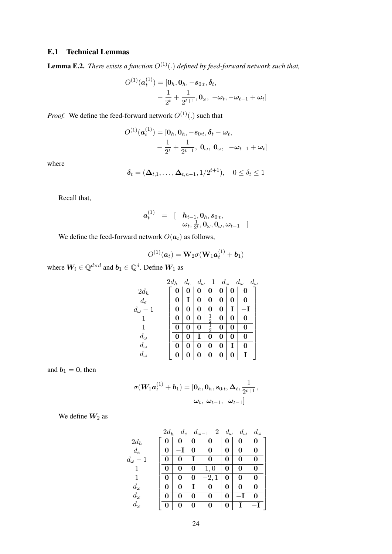# E.1 Technical Lemmas

<span id="page-23-0"></span>**Lemma E.2.** *There exists a function*  $O^{(1)}(.)$  *defined by feed-forward network such that,* 

$$
O^{(1)}(\boldsymbol{a}_t^{(1)}) = [\mathbf{0}_h, \mathbf{0}_h, -\mathbf{s}_{0:t}, \boldsymbol{\delta}_t, -\frac{1}{2^t} + \frac{1}{2^{t+1}}, \mathbf{0}_{\omega}, -\boldsymbol{\omega}_t, -\boldsymbol{\omega}_{t-1} + \boldsymbol{\omega}_t]
$$

*Proof.* We define the feed-forward network  $O^{(1)}(.)$  such that

$$
O^{(1)}(\boldsymbol{a}_t^{(1)}) = [\mathbf{0}_h, \mathbf{0}_h, -\mathbf{s}_{0:t}, \boldsymbol{\delta}_t - \boldsymbol{\omega}_t, -\frac{1}{2^t} + \frac{1}{2^{t+1}}, \mathbf{0}_{\omega}, \mathbf{0}_{\omega}, -\boldsymbol{\omega}_{t-1} + \boldsymbol{\omega}_t]
$$

where

$$
\boldsymbol{\delta}_t = (\boldsymbol{\Delta}_{t,1},\ldots,\boldsymbol{\Delta}_{t,n-1},1/2^{t+1}), \quad 0 \leq \delta_t \leq 1
$$

Recall that,

$$
\begin{array}{lll} \boldsymbol{a}_t^{(1)} & = & \left[ \quad \boldsymbol{h}_{t-1}, \boldsymbol{0}_h, \boldsymbol{s}_{0:t}, \right. \\ & \left. \boldsymbol{\omega}_t, \frac{1}{2^t}, \boldsymbol{0}_{\omega}, \boldsymbol{0}_{\omega}, \boldsymbol{\omega}_{t-1} \quad \right] \end{array}
$$

We define the feed-forward network  $O(a_t)$  as follows,

$$
O^{(1)}(\boldsymbol{a}_t)=\mathbf{W}_2\sigma(\mathbf{W}_1\boldsymbol{a}_t^{(1)}+\boldsymbol{b}_1)
$$

where  $\boldsymbol{W}_i \in \mathbb{Q}^{d \times d}$  and  $\boldsymbol{b}_1 \in \mathbb{Q}^{d}$ . Define  $\boldsymbol{W}_1$  as

|                  | $2d_h$ | $d_e$ | $d_{\omega}$ | $\mathbf{1}$  | $d_{\omega}$ |   | $d_{\omega}$<br>$d_{\omega}$ |
|------------------|--------|-------|--------------|---------------|--------------|---|------------------------------|
| $2d_h$           | 0      | 0     | 0            | 0             | 0            | 0 | 0                            |
| $d_e$            | 0      |       | 0            | 0             | 0            | 0 | 0                            |
| $d_{\omega} - 1$ | 0      | 0     | 0            | 0             | 0            | T |                              |
|                  | 0      | 0     | 0            | $\frac{1}{2}$ | 0            | 0 | 0                            |
|                  | 0      | 0     | 0            | $\frac{1}{2}$ | 0            | 0 | 0                            |
| $d_{\omega}$     | 0      | 0     | Ι            | 0             | 0            | 0 | 0                            |
| $d_{\omega}$     | 0      | O     | 0            | 0             | 0            | Ι | 0                            |
| $d_{\omega}$     | 0      | 0     | 0            | 0             | 0            | 0 | Ι                            |

and  $b_1 = 0$ , then

$$
\sigma(\boldsymbol{W}_{\!1}\boldsymbol{a}_{t}^{(1)}+\boldsymbol{b}_{1})=[\boldsymbol{0}_{h},\boldsymbol{0}_{h},\boldsymbol{s}_{0:t},\boldsymbol{\Delta}_{t},\frac{1}{2^{t+1}},\\ \boldsymbol{\omega}_{t},\;\boldsymbol{\omega}_{t-1},\;\;\boldsymbol{\omega}_{t-1}]
$$

We define  $W_2$  as

|                | $2d_h$ | $d_e$ |   | 2<br>$d_{\omega-1}$ | $d_{\omega}$ | $d_{\omega}$ | $d_{\omega}$ |
|----------------|--------|-------|---|---------------------|--------------|--------------|--------------|
| $2d_h$         | 0      |       |   | 0                   | 0            | 0            | 0            |
| $d_e$          | 0      |       | 0 | 0                   | 0            | 0            | 0            |
| $d_\omega$ $-$ | 0      | 0     |   | 0                   | 0            | 0            | 0            |
|                | 0      | 0     | 0 | 1,0                 | 0            | 0            | 0            |
|                | 0      | 0     | 0 | $-2,1$              | 0            | 0            | 0            |
| $d_{\omega}$   | 0      | 0     | T | 0                   | 0            | 0            | 0            |
| $d_\omega$     | 0      | 0     | 0 | 0                   | 0            |              | 0            |
| $d_\omega$     | 0      | 0     | 0 | 0                   | 0            |              |              |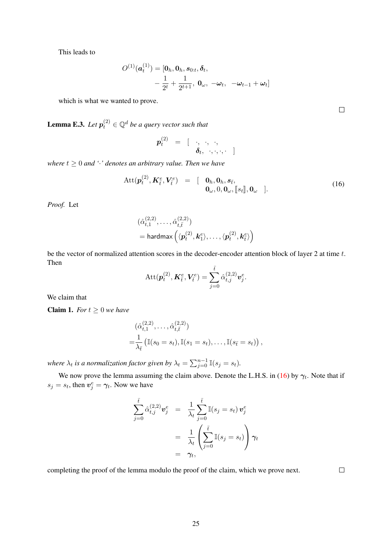This leads to

$$
O^{(1)}(\boldsymbol{a}_t^{(1)}) = [\mathbf{0}_h, \mathbf{0}_h, \mathbf{s}_{0:t}, \boldsymbol{\delta}_t, -\frac{1}{2^t} + \frac{1}{2^{t+1}}, \ \mathbf{0}_{\omega}, \ -\boldsymbol{\omega}_t, \ -\boldsymbol{\omega}_{t-1} + \boldsymbol{\omega}_t]
$$

which is what we wanted to prove.

<span id="page-24-0"></span>**Lemma E.3.** Let  $p_t^{(2)} \in \mathbb{Q}^d$  be a query vector such that

$$
\boldsymbol{p}_t^{(2)} \;\; = \;\; [\quad \cdot, \;\; \cdot, \;\; \cdot, \quad \ \ \, \\\boldsymbol{\delta}_t, \;\; \cdot, \cdot, \cdot, \cdot \;\; ]
$$

*where*  $t \geq 0$  *and* '·<sup>*'</sup> denotes an arbitrary value. Then we have*</sup>

<span id="page-24-1"></span>
$$
Att(\boldsymbol{p}_t^{(2)}, \boldsymbol{K}_t^e, \boldsymbol{V}_t^e) = [\boldsymbol{0}_h, \boldsymbol{0}_h, \boldsymbol{s}_{\bar{t}},\boldsymbol{0}_\omega, 0, \boldsymbol{0}_\omega, [\![s_t]\!], \boldsymbol{0}_\omega]].
$$
\n(16)

*Proof.* Let

$$
\begin{aligned} &(\hat{\alpha}_{t,1}^{(2,2)},\ldots,\hat{\alpha}_{t,\bar{t}}^{(2,2)})\\ &=\textsf{hardmax}\left(\langle \boldsymbol{p}_t^{(2)},\boldsymbol{k}_1^e\rangle,\ldots,\langle \boldsymbol{p}_t^{(2)},\boldsymbol{k}_\bar{t}^e\rangle\right) \end{aligned}
$$

be the vector of normalized attention scores in the decoder-encoder attention block of layer 2 at time t. Then

$$
\text{Att}(\boldsymbol{p}_t^{(2)}, \boldsymbol{K}_t^e, \boldsymbol{V}_t^e) = \sum_{j=0}^{\bar{t}} \hat{\alpha}_{t,j}^{(2,2)} \boldsymbol{v}_j^e.
$$

We claim that

<span id="page-24-2"></span>**Claim 1.** *For*  $t \geq 0$  *we have* 

$$
(\hat{\alpha}_{t,1}^{(2,2)}, \dots, \hat{\alpha}_{t,\bar{t}}^{(2,2)})
$$
  
=  $\frac{1}{\lambda_{\bar{t}}} (\mathbb{I}(s_0 = s_t), \mathbb{I}(s_1 = s_t), \dots, \mathbb{I}(s_{\bar{t}} = s_t)),$ 

where  $\lambda_t$  is a normalization factor given by  $\lambda_t = \sum_{j=0}^{n-1} \mathbb{I}(s_j = s_t)$ .

We now prove the lemma assuming the claim above. Denote the L.H.S. in [\(16\)](#page-24-1) by  $\gamma_t$ . Note that if  $s_j = s_t$ , then  $v_j^e = \gamma_t$ . Now we have

$$
\sum_{j=0}^{\bar{t}} \hat{\alpha}_{t,j}^{(2,2)} \mathbf{v}_j^e = \frac{1}{\lambda_t} \sum_{j=0}^{\bar{t}} \mathbb{I}(s_j = s_t) \mathbf{v}_j^e
$$

$$
= \frac{1}{\lambda_t} \left( \sum_{j=0}^{\bar{t}} \mathbb{I}(s_j = s_t) \right) \gamma_t
$$

$$
= \gamma_t,
$$

completing the proof of the lemma modulo the proof of the claim, which we prove next.

 $\Box$ 

 $\Box$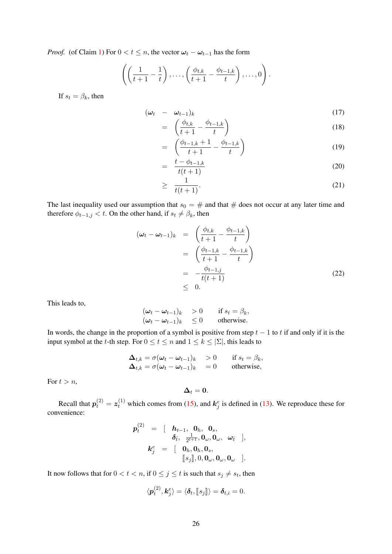*Proof.* (of Claim [1\)](#page-24-2) For  $0 < t \le n$ , the vector  $\omega_t - \omega_{t-1}$  has the form

$$
\left(\left(\frac{1}{t+1}-\frac{1}{t}\right),\ldots,\left(\frac{\phi_{t,k}}{t+1}-\frac{\phi_{t-1,k}}{t}\right),\ldots,0\right).
$$

If  $s_t = \beta_k$ , then

$$
(\omega_t - \omega_{t-1})_k \tag{17}
$$

$$
= \left(\frac{\phi_{t,k}}{t+1} - \frac{\phi_{t-1,k}}{t}\right) \tag{18}
$$

$$
= \left( \frac{\phi_{t-1,k} + 1}{t+1} - \frac{\phi_{t-1,k}}{t} \right) \tag{19}
$$

$$
= \frac{t - \phi_{t-1,k}}{t(t+1)}
$$
 (20)

$$
\geq \frac{1}{t(t+1)}.\tag{21}
$$

The last inequality used our assumption that  $s_0 = #$  and that  $#$  does not occur at any later time and therefore  $\phi_{t-1,j} < t$ . On the other hand, if  $s_t \neq \beta_k$ , then

$$
(\omega_t - \omega_{t-1})_k = \left(\frac{\phi_{t,k}}{t+1} - \frac{\phi_{t-1,k}}{t}\right)
$$
  

$$
= \left(\frac{\phi_{t-1,k}}{t+1} - \frac{\phi_{t-1,k}}{t}\right)
$$
  

$$
= -\frac{\phi_{t-1,j}}{t(t+1)}
$$
 (22)  

$$
\leq 0.
$$

This leads to,

$$
\begin{aligned}\n(\omega_t - \omega_{t-1})_k & > 0 & \text{if } s_t = \beta_k, \\
(\omega_t - \omega_{t-1})_k & &\leq 0 & \text{otherwise.}\n\end{aligned}
$$

In words, the change in the proportion of a symbol is positive from step  $t - 1$  to t if and only if it is the input symbol at the t-th step. For  $0 \le t \le n$  and  $1 \le k \le |\Sigma|$ , this leads to

$$
\Delta_{t,k} = \sigma(\omega_t - \omega_{t-1})_k > 0 \quad \text{if } s_t = \beta_k,
$$
  
\n
$$
\Delta_{t,k} = \sigma(\omega_t - \omega_{t-1})_k = 0 \quad \text{otherwise},
$$

For  $t > n$ ,

$$
\Delta_t=0.
$$

Recall that  $p_t^{(2)} = z_t^{(1)}$  which comes from [\(15\)](#page-22-0), and  $k_j^e$  is defined in [\(13\)](#page-21-1). We reproduce these for convenience:

$$
p_t^{(2)} = \begin{bmatrix} h_{t-1}, & 0_h, & 0_s, \\ & \delta_{\bar{t}}, & \frac{1}{2^{t+1}}, 0_\omega, 0_\omega, & \omega_{\bar{t}} \end{bmatrix},
$$

$$
k_j^e = \begin{bmatrix} 0_h, 0_h, 0_s, & \omega_{\omega}, 0_\omega, 0_\omega \end{bmatrix}.
$$

It now follows that for  $0 < t < n$ , if  $0 \le j \le t$  is such that  $s_j \ne s_t$ , then

$$
\langle \boldsymbol{p}_t^{(2)}, \boldsymbol{k}_j^e \rangle = \langle \boldsymbol{\delta}_t, [\![s_j]\!] \rangle = \boldsymbol{\delta}_{t,i} = 0.
$$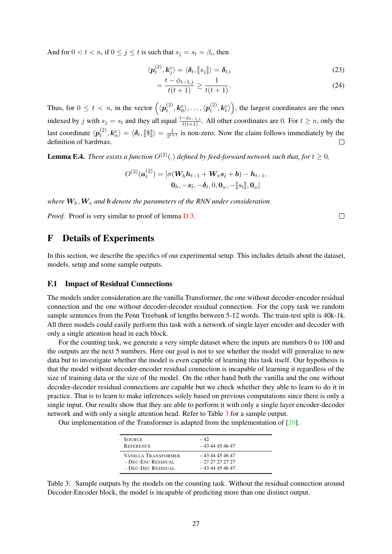And for  $0 < t < n$ , if  $0 \le j \le t$  is such that  $s_j = s_t = \beta_i$ , then

$$
\langle \boldsymbol{p}_t^{(2)}, \boldsymbol{k}_j^e \rangle = \langle \boldsymbol{\delta}_t, [\![s_j]\!]\rangle = \boldsymbol{\delta}_{t,i} \tag{23}
$$

$$
=\frac{t-\phi_{t-1,j}}{t(t+1)}\geq \frac{1}{t(t+1)}.\tag{24}
$$

Thus, for  $0 \le t < n$ , in the vector  $\left(\langle p_t^{(2)} \rangle \right)$  $\langle t^{(2)}, \bm{k}_{0}^{e} \rangle, \ldots, \langle \bm{p}_{t}^{(2)} \rangle$  $\left( \begin{matrix} (2) \ t \end{matrix} \right)$ , the largest coordinates are the ones indexed by j with  $s_j = s_t$  and they all equal  $\frac{t-\phi_{t-1,i}}{t(t+1)}$ . All other coordinates are 0. For  $t \ge n$ , only the last coordinate  $\langle p_t^{(2)} \rangle$  $\langle \bm{k}_t^{\left( 2 \right)}, \bm{k}_n^e \rangle = \langle \bm{\delta}_t, \llbracket \bm{\$\rrbracket} \rangle = \frac{1}{2^{t+1}}.$  $\frac{1}{2^{t+1}}$  is non-zero. Now the claim follows immediately by the definition of hardmax.

<span id="page-26-1"></span>**Lemma E.4.** *There exists a function*  $O^{(2)}(.)$  *defined by feed-forward network such that, for*  $t \geq 0$ *,* 

$$
O^{(2)}(\boldsymbol{a}_t^{(2)}) = [\sigma(\boldsymbol{W}_h \boldsymbol{h}_{t-1} + \boldsymbol{W}_x \boldsymbol{s}_{\bar{t}} + \boldsymbol{b}) - \boldsymbol{h}_{t-1},
$$
  

$$
\boldsymbol{0}_h, -\boldsymbol{s}_{\bar{t}}, -\boldsymbol{\delta}_t, 0, \boldsymbol{0}_\omega, -[\![s_t]\!], \boldsymbol{0}_\omega]
$$

*where*  $W_h$ ,  $W_x$  *and*  $b$  *denote the parameters of the RNN under consideration.* 

*Proof.* Proof is very similar to proof of lemma  $D.3$ .

# <span id="page-26-0"></span>F Details of Experiments

In this section, we describe the specifics of our experimental setup. This includes details about the dataset, models, setup and some sample outputs.

### F.1 Impact of Residual Connections

The models under consideration are the vanilla Transformer, the one without decoder-encoder residual connection and the one without decoder-decoder residual connection. For the copy task we random sample sentences from the Penn Treebank of lengths between 5-12 words. The train-test split is 40k-1k. All three models could easily perform this task with a network of single layer encoder and decoder with only a single attention head in each block.

For the counting task, we generate a very simple dataset where the inputs are numbers 0 to 100 and the outputs are the next 5 numbers. Here our goal is not to see whether the model will generalize to new data but to investigate whether the model is even capable of learning this task itself. Our hypothesis is that the model without decoder-encoder residual connection is incapable of learning it regardless of the size of training data or the size of the model. On the other hand both the vanilla and the one without decoder-decoder residual connections are capable but we check whether they able to learn to do it in practice. That is to learn to make inferences solely based on previous computations since there is only a single input. Our results show that they are able to perform it with only a single layer encoder-decoder network and with only a single attention head. Refer to Table [3](#page-26-2) for a sample output.

Our implementation of the Transformer is adapted from the implementation of  $[20]$ .

| <b>SOURCE</b>       | $-42$            |
|---------------------|------------------|
| <b>REFERENCE</b>    | $-4344454647$    |
| VANILLA TRANSFORMER | $-4344454647$    |
| - DEC-ENC RESIDUAL  | - 27 27 27 27 27 |
| - DEC-DEC RESIDUAL  | $-4344454647$    |

<span id="page-26-2"></span>Table 3: Sample outputs by the models on the counting task. Without the residual connection around Decoder-Encoder block, the model is incapable of predicting more than one distinct output.

 $\Box$